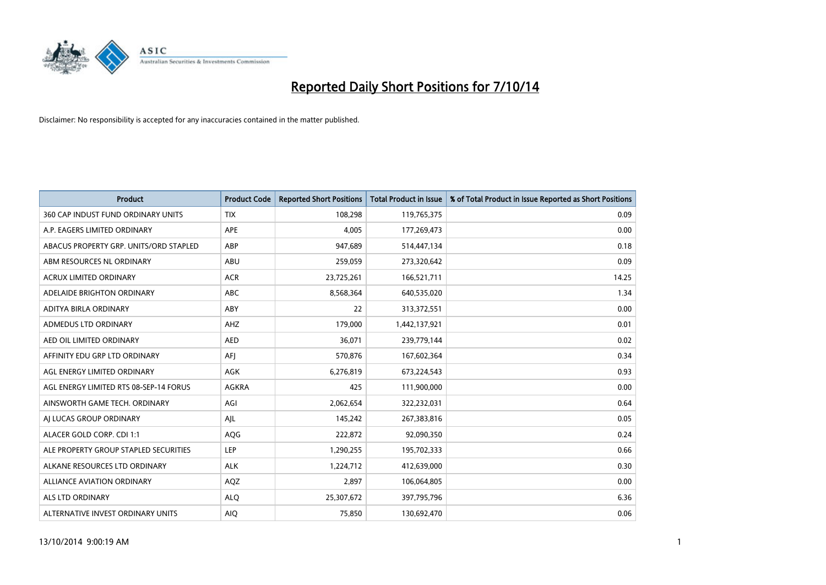

| <b>Product</b>                         | <b>Product Code</b> | <b>Reported Short Positions</b> | <b>Total Product in Issue</b> | % of Total Product in Issue Reported as Short Positions |
|----------------------------------------|---------------------|---------------------------------|-------------------------------|---------------------------------------------------------|
| 360 CAP INDUST FUND ORDINARY UNITS     | <b>TIX</b>          | 108,298                         | 119,765,375                   | 0.09                                                    |
| A.P. EAGERS LIMITED ORDINARY           | APE                 | 4,005                           | 177,269,473                   | 0.00                                                    |
| ABACUS PROPERTY GRP. UNITS/ORD STAPLED | ABP                 | 947,689                         | 514,447,134                   | 0.18                                                    |
| ABM RESOURCES NL ORDINARY              | ABU                 | 259,059                         | 273,320,642                   | 0.09                                                    |
| <b>ACRUX LIMITED ORDINARY</b>          | <b>ACR</b>          | 23,725,261                      | 166,521,711                   | 14.25                                                   |
| ADELAIDE BRIGHTON ORDINARY             | <b>ABC</b>          | 8,568,364                       | 640,535,020                   | 1.34                                                    |
| ADITYA BIRLA ORDINARY                  | <b>ABY</b>          | 22                              | 313,372,551                   | 0.00                                                    |
| ADMEDUS LTD ORDINARY                   | AHZ                 | 179,000                         | 1,442,137,921                 | 0.01                                                    |
| AED OIL LIMITED ORDINARY               | <b>AED</b>          | 36,071                          | 239,779,144                   | 0.02                                                    |
| AFFINITY EDU GRP LTD ORDINARY          | AFI                 | 570,876                         | 167,602,364                   | 0.34                                                    |
| AGL ENERGY LIMITED ORDINARY            | AGK                 | 6,276,819                       | 673,224,543                   | 0.93                                                    |
| AGL ENERGY LIMITED RTS 08-SEP-14 FORUS | AGKRA               | 425                             | 111,900,000                   | 0.00                                                    |
| AINSWORTH GAME TECH. ORDINARY          | AGI                 | 2,062,654                       | 322,232,031                   | 0.64                                                    |
| AI LUCAS GROUP ORDINARY                | AJL                 | 145,242                         | 267,383,816                   | 0.05                                                    |
| ALACER GOLD CORP. CDI 1:1              | AQG                 | 222,872                         | 92,090,350                    | 0.24                                                    |
| ALE PROPERTY GROUP STAPLED SECURITIES  | LEP                 | 1,290,255                       | 195,702,333                   | 0.66                                                    |
| ALKANE RESOURCES LTD ORDINARY          | <b>ALK</b>          | 1,224,712                       | 412,639,000                   | 0.30                                                    |
| ALLIANCE AVIATION ORDINARY             | AQZ                 | 2,897                           | 106,064,805                   | 0.00                                                    |
| ALS LTD ORDINARY                       | <b>ALO</b>          | 25,307,672                      | 397,795,796                   | 6.36                                                    |
| ALTERNATIVE INVEST ORDINARY UNITS      | <b>AIO</b>          | 75,850                          | 130,692,470                   | 0.06                                                    |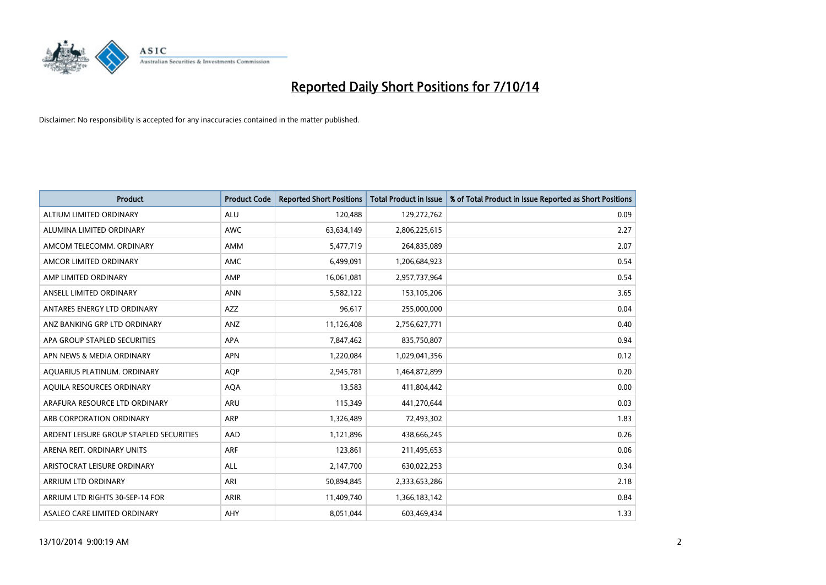

| <b>Product</b>                          | <b>Product Code</b> | <b>Reported Short Positions</b> | <b>Total Product in Issue</b> | % of Total Product in Issue Reported as Short Positions |
|-----------------------------------------|---------------------|---------------------------------|-------------------------------|---------------------------------------------------------|
| ALTIUM LIMITED ORDINARY                 | <b>ALU</b>          | 120,488                         | 129,272,762                   | 0.09                                                    |
| ALUMINA LIMITED ORDINARY                | AWC                 | 63,634,149                      | 2,806,225,615                 | 2.27                                                    |
| AMCOM TELECOMM, ORDINARY                | AMM                 | 5,477,719                       | 264,835,089                   | 2.07                                                    |
| AMCOR LIMITED ORDINARY                  | AMC                 | 6,499,091                       | 1,206,684,923                 | 0.54                                                    |
| AMP LIMITED ORDINARY                    | AMP                 | 16,061,081                      | 2,957,737,964                 | 0.54                                                    |
| ANSELL LIMITED ORDINARY                 | <b>ANN</b>          | 5,582,122                       | 153,105,206                   | 3.65                                                    |
| ANTARES ENERGY LTD ORDINARY             | AZZ                 | 96,617                          | 255,000,000                   | 0.04                                                    |
| ANZ BANKING GRP LTD ORDINARY            | ANZ                 | 11,126,408                      | 2,756,627,771                 | 0.40                                                    |
| APA GROUP STAPLED SECURITIES            | <b>APA</b>          | 7,847,462                       | 835,750,807                   | 0.94                                                    |
| APN NEWS & MEDIA ORDINARY               | <b>APN</b>          | 1,220,084                       | 1,029,041,356                 | 0.12                                                    |
| AQUARIUS PLATINUM. ORDINARY             | <b>AOP</b>          | 2,945,781                       | 1,464,872,899                 | 0.20                                                    |
| AQUILA RESOURCES ORDINARY               | <b>AQA</b>          | 13,583                          | 411,804,442                   | 0.00                                                    |
| ARAFURA RESOURCE LTD ORDINARY           | ARU                 | 115,349                         | 441,270,644                   | 0.03                                                    |
| ARB CORPORATION ORDINARY                | ARP                 | 1,326,489                       | 72,493,302                    | 1.83                                                    |
| ARDENT LEISURE GROUP STAPLED SECURITIES | AAD                 | 1,121,896                       | 438,666,245                   | 0.26                                                    |
| ARENA REIT. ORDINARY UNITS              | <b>ARF</b>          | 123,861                         | 211,495,653                   | 0.06                                                    |
| ARISTOCRAT LEISURE ORDINARY             | ALL                 | 2,147,700                       | 630,022,253                   | 0.34                                                    |
| ARRIUM LTD ORDINARY                     | ARI                 | 50,894,845                      | 2,333,653,286                 | 2.18                                                    |
| ARRIUM LTD RIGHTS 30-SEP-14 FOR         | <b>ARIR</b>         | 11,409,740                      | 1,366,183,142                 | 0.84                                                    |
| ASALEO CARE LIMITED ORDINARY            | AHY                 | 8,051,044                       | 603,469,434                   | 1.33                                                    |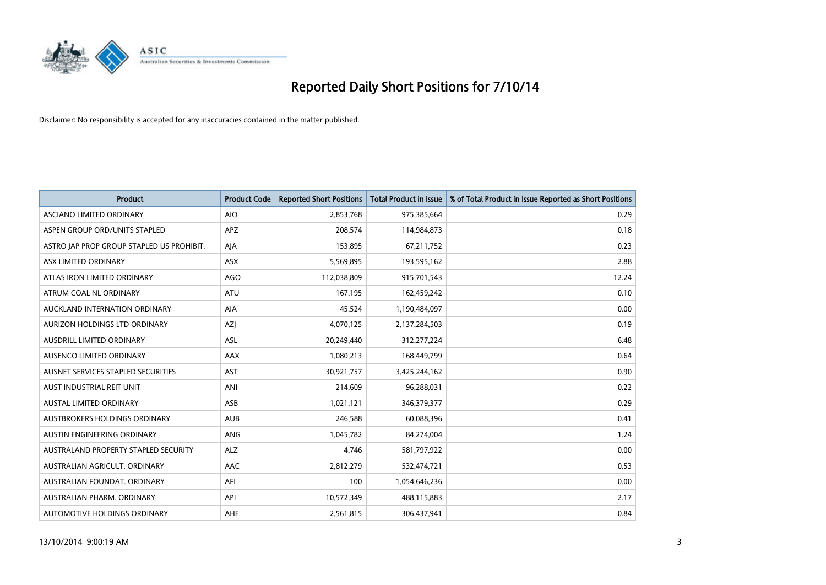

| <b>Product</b>                            | <b>Product Code</b> | <b>Reported Short Positions</b> | <b>Total Product in Issue</b> | % of Total Product in Issue Reported as Short Positions |
|-------------------------------------------|---------------------|---------------------------------|-------------------------------|---------------------------------------------------------|
| ASCIANO LIMITED ORDINARY                  | <b>AIO</b>          | 2,853,768                       | 975,385,664                   | 0.29                                                    |
| ASPEN GROUP ORD/UNITS STAPLED             | APZ                 | 208,574                         | 114,984,873                   | 0.18                                                    |
| ASTRO JAP PROP GROUP STAPLED US PROHIBIT. | AJA                 | 153,895                         | 67,211,752                    | 0.23                                                    |
| ASX LIMITED ORDINARY                      | ASX                 | 5,569,895                       | 193,595,162                   | 2.88                                                    |
| ATLAS IRON LIMITED ORDINARY               | <b>AGO</b>          | 112,038,809                     | 915,701,543                   | 12.24                                                   |
| ATRUM COAL NL ORDINARY                    | <b>ATU</b>          | 167,195                         | 162,459,242                   | 0.10                                                    |
| AUCKLAND INTERNATION ORDINARY             | AIA                 | 45,524                          | 1,190,484,097                 | 0.00                                                    |
| AURIZON HOLDINGS LTD ORDINARY             | AZJ                 | 4,070,125                       | 2,137,284,503                 | 0.19                                                    |
| <b>AUSDRILL LIMITED ORDINARY</b>          | <b>ASL</b>          | 20,249,440                      | 312,277,224                   | 6.48                                                    |
| AUSENCO LIMITED ORDINARY                  | AAX                 | 1,080,213                       | 168,449,799                   | 0.64                                                    |
| AUSNET SERVICES STAPLED SECURITIES        | <b>AST</b>          | 30,921,757                      | 3,425,244,162                 | 0.90                                                    |
| AUST INDUSTRIAL REIT UNIT                 | ANI                 | 214,609                         | 96,288,031                    | 0.22                                                    |
| AUSTAL LIMITED ORDINARY                   | ASB                 | 1,021,121                       | 346,379,377                   | 0.29                                                    |
| AUSTBROKERS HOLDINGS ORDINARY             | <b>AUB</b>          | 246,588                         | 60,088,396                    | 0.41                                                    |
| AUSTIN ENGINEERING ORDINARY               | <b>ANG</b>          | 1,045,782                       | 84,274,004                    | 1.24                                                    |
| AUSTRALAND PROPERTY STAPLED SECURITY      | <b>ALZ</b>          | 4,746                           | 581,797,922                   | 0.00                                                    |
| AUSTRALIAN AGRICULT. ORDINARY             | AAC                 | 2,812,279                       | 532,474,721                   | 0.53                                                    |
| AUSTRALIAN FOUNDAT, ORDINARY              | AFI                 | 100                             | 1,054,646,236                 | 0.00                                                    |
| AUSTRALIAN PHARM, ORDINARY                | API                 | 10,572,349                      | 488,115,883                   | 2.17                                                    |
| AUTOMOTIVE HOLDINGS ORDINARY              | <b>AHE</b>          | 2,561,815                       | 306,437,941                   | 0.84                                                    |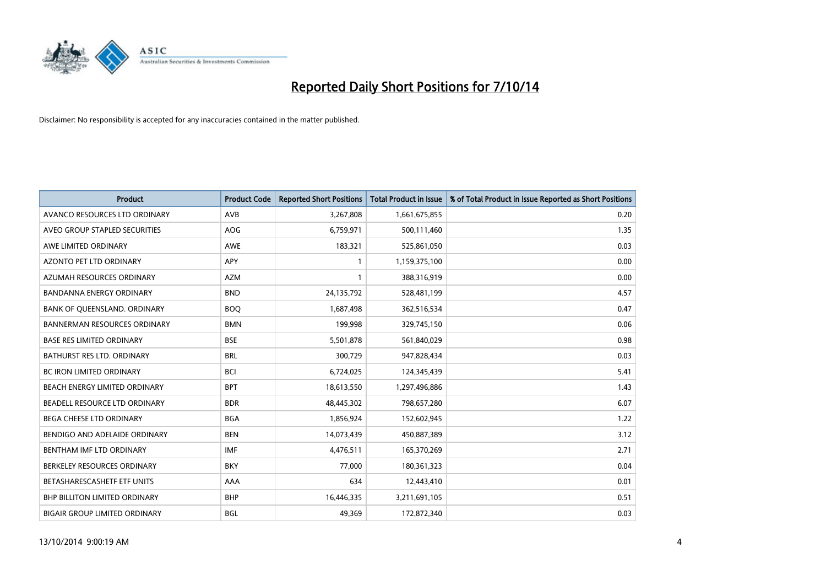

| <b>Product</b>                       | <b>Product Code</b> | <b>Reported Short Positions</b> | <b>Total Product in Issue</b> | % of Total Product in Issue Reported as Short Positions |
|--------------------------------------|---------------------|---------------------------------|-------------------------------|---------------------------------------------------------|
| AVANCO RESOURCES LTD ORDINARY        | AVB                 | 3,267,808                       | 1,661,675,855                 | 0.20                                                    |
| AVEO GROUP STAPLED SECURITIES        | AOG                 | 6,759,971                       | 500,111,460                   | 1.35                                                    |
| AWE LIMITED ORDINARY                 | <b>AWE</b>          | 183,321                         | 525,861,050                   | 0.03                                                    |
| AZONTO PET LTD ORDINARY              | APY                 | 1                               | 1,159,375,100                 | 0.00                                                    |
| AZUMAH RESOURCES ORDINARY            | AZM                 | $\mathbf{1}$                    | 388,316,919                   | 0.00                                                    |
| <b>BANDANNA ENERGY ORDINARY</b>      | <b>BND</b>          | 24,135,792                      | 528,481,199                   | 4.57                                                    |
| BANK OF QUEENSLAND. ORDINARY         | <b>BOO</b>          | 1,687,498                       | 362,516,534                   | 0.47                                                    |
| <b>BANNERMAN RESOURCES ORDINARY</b>  | <b>BMN</b>          | 199,998                         | 329,745,150                   | 0.06                                                    |
| <b>BASE RES LIMITED ORDINARY</b>     | <b>BSE</b>          | 5,501,878                       | 561,840,029                   | 0.98                                                    |
| <b>BATHURST RES LTD. ORDINARY</b>    | <b>BRL</b>          | 300,729                         | 947,828,434                   | 0.03                                                    |
| BC IRON LIMITED ORDINARY             | <b>BCI</b>          | 6,724,025                       | 124,345,439                   | 5.41                                                    |
| BEACH ENERGY LIMITED ORDINARY        | <b>BPT</b>          | 18,613,550                      | 1,297,496,886                 | 1.43                                                    |
| BEADELL RESOURCE LTD ORDINARY        | <b>BDR</b>          | 48,445,302                      | 798,657,280                   | 6.07                                                    |
| <b>BEGA CHEESE LTD ORDINARY</b>      | <b>BGA</b>          | 1,856,924                       | 152,602,945                   | 1.22                                                    |
| BENDIGO AND ADELAIDE ORDINARY        | <b>BEN</b>          | 14,073,439                      | 450,887,389                   | 3.12                                                    |
| BENTHAM IMF LTD ORDINARY             | <b>IMF</b>          | 4,476,511                       | 165,370,269                   | 2.71                                                    |
| BERKELEY RESOURCES ORDINARY          | <b>BKY</b>          | 77,000                          | 180,361,323                   | 0.04                                                    |
| BETASHARESCASHETF ETF UNITS          | AAA                 | 634                             | 12,443,410                    | 0.01                                                    |
| <b>BHP BILLITON LIMITED ORDINARY</b> | <b>BHP</b>          | 16,446,335                      | 3,211,691,105                 | 0.51                                                    |
| BIGAIR GROUP LIMITED ORDINARY        | BGL                 | 49,369                          | 172,872,340                   | 0.03                                                    |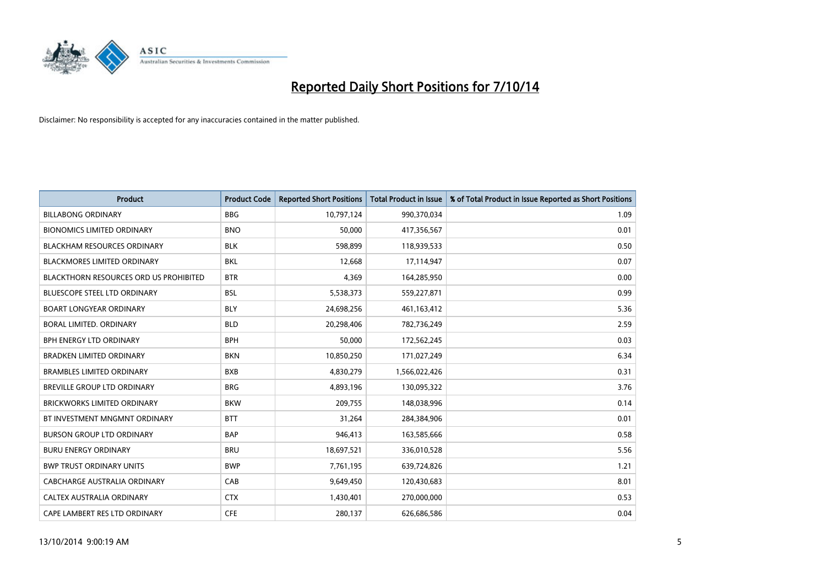

| <b>Product</b>                                | <b>Product Code</b> | <b>Reported Short Positions</b> | <b>Total Product in Issue</b> | % of Total Product in Issue Reported as Short Positions |
|-----------------------------------------------|---------------------|---------------------------------|-------------------------------|---------------------------------------------------------|
| <b>BILLABONG ORDINARY</b>                     | <b>BBG</b>          | 10,797,124                      | 990,370,034                   | 1.09                                                    |
| <b>BIONOMICS LIMITED ORDINARY</b>             | <b>BNO</b>          | 50,000                          | 417,356,567                   | 0.01                                                    |
| <b>BLACKHAM RESOURCES ORDINARY</b>            | <b>BLK</b>          | 598,899                         | 118,939,533                   | 0.50                                                    |
| <b>BLACKMORES LIMITED ORDINARY</b>            | <b>BKL</b>          | 12,668                          | 17,114,947                    | 0.07                                                    |
| <b>BLACKTHORN RESOURCES ORD US PROHIBITED</b> | <b>BTR</b>          | 4,369                           | 164,285,950                   | 0.00                                                    |
| <b>BLUESCOPE STEEL LTD ORDINARY</b>           | <b>BSL</b>          | 5,538,373                       | 559,227,871                   | 0.99                                                    |
| <b>BOART LONGYEAR ORDINARY</b>                | <b>BLY</b>          | 24,698,256                      | 461,163,412                   | 5.36                                                    |
| BORAL LIMITED, ORDINARY                       | <b>BLD</b>          | 20,298,406                      | 782,736,249                   | 2.59                                                    |
| <b>BPH ENERGY LTD ORDINARY</b>                | <b>BPH</b>          | 50.000                          | 172,562,245                   | 0.03                                                    |
| <b>BRADKEN LIMITED ORDINARY</b>               | <b>BKN</b>          | 10,850,250                      | 171,027,249                   | 6.34                                                    |
| <b>BRAMBLES LIMITED ORDINARY</b>              | <b>BXB</b>          | 4,830,279                       | 1,566,022,426                 | 0.31                                                    |
| BREVILLE GROUP LTD ORDINARY                   | <b>BRG</b>          | 4,893,196                       | 130,095,322                   | 3.76                                                    |
| <b>BRICKWORKS LIMITED ORDINARY</b>            | <b>BKW</b>          | 209,755                         | 148,038,996                   | 0.14                                                    |
| BT INVESTMENT MNGMNT ORDINARY                 | <b>BTT</b>          | 31,264                          | 284,384,906                   | 0.01                                                    |
| <b>BURSON GROUP LTD ORDINARY</b>              | <b>BAP</b>          | 946,413                         | 163,585,666                   | 0.58                                                    |
| <b>BURU ENERGY ORDINARY</b>                   | <b>BRU</b>          | 18,697,521                      | 336,010,528                   | 5.56                                                    |
| <b>BWP TRUST ORDINARY UNITS</b>               | <b>BWP</b>          | 7,761,195                       | 639,724,826                   | 1.21                                                    |
| <b>CABCHARGE AUSTRALIA ORDINARY</b>           | CAB                 | 9,649,450                       | 120,430,683                   | 8.01                                                    |
| CALTEX AUSTRALIA ORDINARY                     | <b>CTX</b>          | 1,430,401                       | 270,000,000                   | 0.53                                                    |
| CAPE LAMBERT RES LTD ORDINARY                 | <b>CFE</b>          | 280,137                         | 626,686,586                   | 0.04                                                    |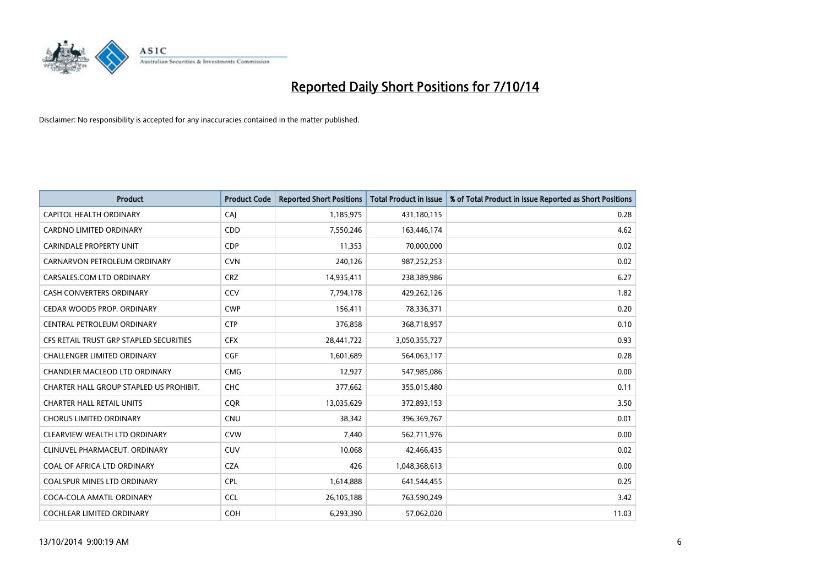

| <b>Product</b>                          | <b>Product Code</b> | <b>Reported Short Positions</b> | <b>Total Product in Issue</b> | % of Total Product in Issue Reported as Short Positions |
|-----------------------------------------|---------------------|---------------------------------|-------------------------------|---------------------------------------------------------|
| <b>CAPITOL HEALTH ORDINARY</b>          | CAJ                 | 1,185,975                       | 431,180,115                   | 0.28                                                    |
| CARDNO LIMITED ORDINARY                 | CDD                 | 7,550,246                       | 163,446,174                   | 4.62                                                    |
| <b>CARINDALE PROPERTY UNIT</b>          | <b>CDP</b>          | 11,353                          | 70,000,000                    | 0.02                                                    |
| CARNARVON PETROLEUM ORDINARY            | <b>CVN</b>          | 240,126                         | 987,252,253                   | 0.02                                                    |
| CARSALES.COM LTD ORDINARY               | <b>CRZ</b>          | 14,935,411                      | 238,389,986                   | 6.27                                                    |
| <b>CASH CONVERTERS ORDINARY</b>         | CCV                 | 7,794,178                       | 429,262,126                   | 1.82                                                    |
| CEDAR WOODS PROP. ORDINARY              | <b>CWP</b>          | 156,411                         | 78,336,371                    | 0.20                                                    |
| CENTRAL PETROLEUM ORDINARY              | <b>CTP</b>          | 376,858                         | 368,718,957                   | 0.10                                                    |
| CFS RETAIL TRUST GRP STAPLED SECURITIES | <b>CFX</b>          | 28,441,722                      | 3,050,355,727                 | 0.93                                                    |
| <b>CHALLENGER LIMITED ORDINARY</b>      | <b>CGF</b>          | 1,601,689                       | 564,063,117                   | 0.28                                                    |
| CHANDLER MACLEOD LTD ORDINARY           | <b>CMG</b>          | 12,927                          | 547,985,086                   | 0.00                                                    |
| CHARTER HALL GROUP STAPLED US PROHIBIT. | <b>CHC</b>          | 377,662                         | 355,015,480                   | 0.11                                                    |
| <b>CHARTER HALL RETAIL UNITS</b>        | <b>COR</b>          | 13,035,629                      | 372,893,153                   | 3.50                                                    |
| CHORUS LIMITED ORDINARY                 | CNU                 | 38,342                          | 396,369,767                   | 0.01                                                    |
| CLEARVIEW WEALTH LTD ORDINARY           | <b>CVW</b>          | 7,440                           | 562,711,976                   | 0.00                                                    |
| CLINUVEL PHARMACEUT, ORDINARY           | CUV                 | 10,068                          | 42,466,435                    | 0.02                                                    |
| COAL OF AFRICA LTD ORDINARY             | <b>CZA</b>          | 426                             | 1,048,368,613                 | 0.00                                                    |
| COALSPUR MINES LTD ORDINARY             | <b>CPL</b>          | 1,614,888                       | 641,544,455                   | 0.25                                                    |
| COCA-COLA AMATIL ORDINARY               | <b>CCL</b>          | 26,105,188                      | 763,590,249                   | 3.42                                                    |
| COCHLEAR LIMITED ORDINARY               | <b>COH</b>          | 6,293,390                       | 57,062,020                    | 11.03                                                   |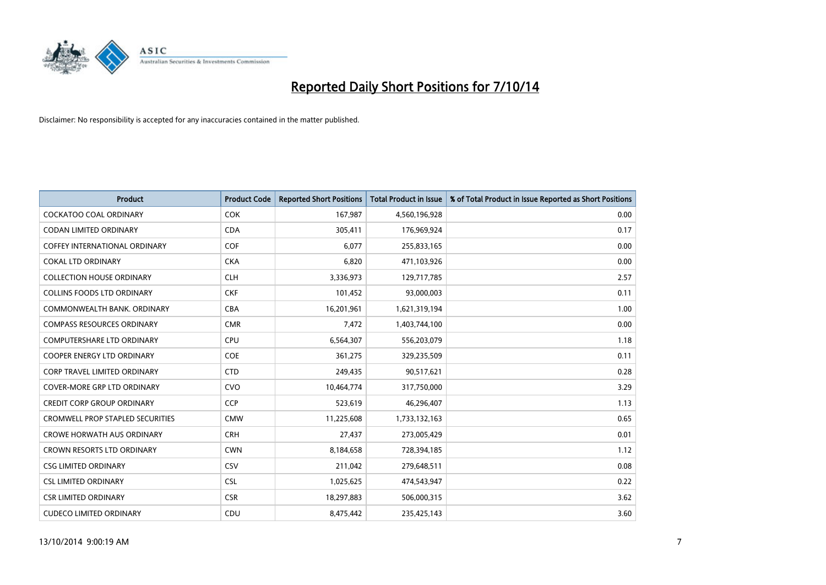

| <b>Product</b>                          | <b>Product Code</b> | <b>Reported Short Positions</b> | <b>Total Product in Issue</b> | % of Total Product in Issue Reported as Short Positions |
|-----------------------------------------|---------------------|---------------------------------|-------------------------------|---------------------------------------------------------|
| <b>COCKATOO COAL ORDINARY</b>           | <b>COK</b>          | 167,987                         | 4,560,196,928                 | 0.00                                                    |
| <b>CODAN LIMITED ORDINARY</b>           | <b>CDA</b>          | 305,411                         | 176,969,924                   | 0.17                                                    |
| <b>COFFEY INTERNATIONAL ORDINARY</b>    | <b>COF</b>          | 6,077                           | 255,833,165                   | 0.00                                                    |
| <b>COKAL LTD ORDINARY</b>               | <b>CKA</b>          | 6,820                           | 471,103,926                   | 0.00                                                    |
| <b>COLLECTION HOUSE ORDINARY</b>        | <b>CLH</b>          | 3,336,973                       | 129,717,785                   | 2.57                                                    |
| <b>COLLINS FOODS LTD ORDINARY</b>       | <b>CKF</b>          | 101,452                         | 93,000,003                    | 0.11                                                    |
| COMMONWEALTH BANK, ORDINARY             | <b>CBA</b>          | 16,201,961                      | 1,621,319,194                 | 1.00                                                    |
| <b>COMPASS RESOURCES ORDINARY</b>       | <b>CMR</b>          | 7,472                           | 1,403,744,100                 | 0.00                                                    |
| <b>COMPUTERSHARE LTD ORDINARY</b>       | <b>CPU</b>          | 6,564,307                       | 556,203,079                   | 1.18                                                    |
| <b>COOPER ENERGY LTD ORDINARY</b>       | <b>COE</b>          | 361,275                         | 329,235,509                   | 0.11                                                    |
| CORP TRAVEL LIMITED ORDINARY            | <b>CTD</b>          | 249,435                         | 90,517,621                    | 0.28                                                    |
| <b>COVER-MORE GRP LTD ORDINARY</b>      | <b>CVO</b>          | 10,464,774                      | 317,750,000                   | 3.29                                                    |
| <b>CREDIT CORP GROUP ORDINARY</b>       | <b>CCP</b>          | 523,619                         | 46,296,407                    | 1.13                                                    |
| <b>CROMWELL PROP STAPLED SECURITIES</b> | <b>CMW</b>          | 11,225,608                      | 1,733,132,163                 | 0.65                                                    |
| <b>CROWE HORWATH AUS ORDINARY</b>       | <b>CRH</b>          | 27,437                          | 273,005,429                   | 0.01                                                    |
| <b>CROWN RESORTS LTD ORDINARY</b>       | <b>CWN</b>          | 8,184,658                       | 728,394,185                   | 1.12                                                    |
| <b>CSG LIMITED ORDINARY</b>             | <b>CSV</b>          | 211,042                         | 279,648,511                   | 0.08                                                    |
| <b>CSL LIMITED ORDINARY</b>             | <b>CSL</b>          | 1,025,625                       | 474,543,947                   | 0.22                                                    |
| <b>CSR LIMITED ORDINARY</b>             | <b>CSR</b>          | 18,297,883                      | 506,000,315                   | 3.62                                                    |
| <b>CUDECO LIMITED ORDINARY</b>          | CDU                 | 8,475,442                       | 235,425,143                   | 3.60                                                    |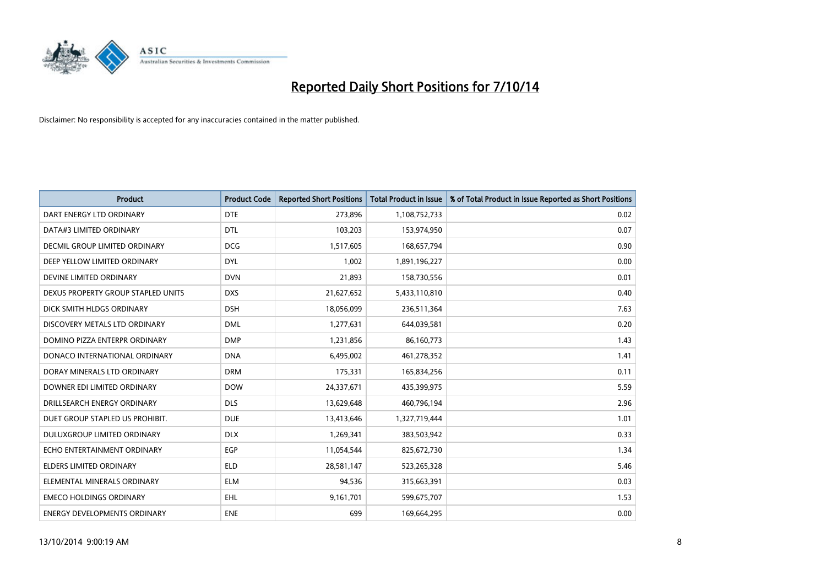

| <b>Product</b>                       | <b>Product Code</b> | <b>Reported Short Positions</b> | <b>Total Product in Issue</b> | % of Total Product in Issue Reported as Short Positions |
|--------------------------------------|---------------------|---------------------------------|-------------------------------|---------------------------------------------------------|
| DART ENERGY LTD ORDINARY             | <b>DTE</b>          | 273,896                         | 1,108,752,733                 | 0.02                                                    |
| DATA#3 LIMITED ORDINARY              | <b>DTL</b>          | 103,203                         | 153,974,950                   | 0.07                                                    |
| <b>DECMIL GROUP LIMITED ORDINARY</b> | <b>DCG</b>          | 1,517,605                       | 168,657,794                   | 0.90                                                    |
| DEEP YELLOW LIMITED ORDINARY         | <b>DYL</b>          | 1,002                           | 1,891,196,227                 | 0.00                                                    |
| DEVINE LIMITED ORDINARY              | <b>DVN</b>          | 21,893                          | 158,730,556                   | 0.01                                                    |
| DEXUS PROPERTY GROUP STAPLED UNITS   | <b>DXS</b>          | 21,627,652                      | 5,433,110,810                 | 0.40                                                    |
| DICK SMITH HLDGS ORDINARY            | <b>DSH</b>          | 18,056,099                      | 236,511,364                   | 7.63                                                    |
| DISCOVERY METALS LTD ORDINARY        | <b>DML</b>          | 1,277,631                       | 644,039,581                   | 0.20                                                    |
| DOMINO PIZZA ENTERPR ORDINARY        | <b>DMP</b>          | 1,231,856                       | 86,160,773                    | 1.43                                                    |
| DONACO INTERNATIONAL ORDINARY        | <b>DNA</b>          | 6,495,002                       | 461,278,352                   | 1.41                                                    |
| DORAY MINERALS LTD ORDINARY          | <b>DRM</b>          | 175,331                         | 165,834,256                   | 0.11                                                    |
| DOWNER EDI LIMITED ORDINARY          | <b>DOW</b>          | 24,337,671                      | 435,399,975                   | 5.59                                                    |
| DRILLSEARCH ENERGY ORDINARY          | <b>DLS</b>          | 13,629,648                      | 460,796,194                   | 2.96                                                    |
| DUET GROUP STAPLED US PROHIBIT.      | <b>DUE</b>          | 13,413,646                      | 1,327,719,444                 | 1.01                                                    |
| DULUXGROUP LIMITED ORDINARY          | <b>DLX</b>          | 1,269,341                       | 383,503,942                   | 0.33                                                    |
| ECHO ENTERTAINMENT ORDINARY          | <b>EGP</b>          | 11,054,544                      | 825,672,730                   | 1.34                                                    |
| ELDERS LIMITED ORDINARY              | <b>ELD</b>          | 28,581,147                      | 523,265,328                   | 5.46                                                    |
| ELEMENTAL MINERALS ORDINARY          | ELM                 | 94,536                          | 315,663,391                   | 0.03                                                    |
| <b>EMECO HOLDINGS ORDINARY</b>       | <b>EHL</b>          | 9,161,701                       | 599,675,707                   | 1.53                                                    |
| ENERGY DEVELOPMENTS ORDINARY         | <b>ENE</b>          | 699                             | 169,664,295                   | 0.00                                                    |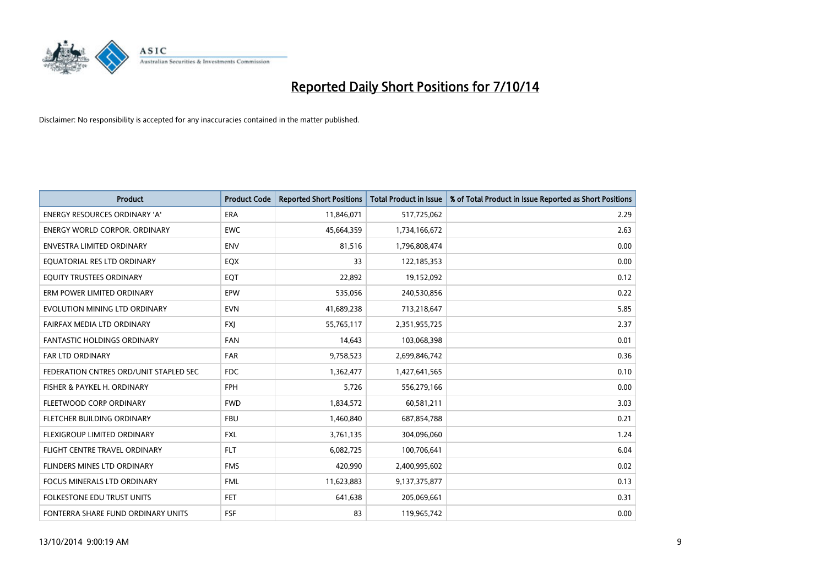

| <b>Product</b>                         | <b>Product Code</b> | <b>Reported Short Positions</b> | <b>Total Product in Issue</b> | % of Total Product in Issue Reported as Short Positions |
|----------------------------------------|---------------------|---------------------------------|-------------------------------|---------------------------------------------------------|
| <b>ENERGY RESOURCES ORDINARY 'A'</b>   | <b>ERA</b>          | 11,846,071                      | 517,725,062                   | 2.29                                                    |
| <b>ENERGY WORLD CORPOR. ORDINARY</b>   | <b>EWC</b>          | 45,664,359                      | 1,734,166,672                 | 2.63                                                    |
| <b>ENVESTRA LIMITED ORDINARY</b>       | <b>ENV</b>          | 81,516                          | 1,796,808,474                 | 0.00                                                    |
| EQUATORIAL RES LTD ORDINARY            | EQX                 | 33                              | 122,185,353                   | 0.00                                                    |
| EQUITY TRUSTEES ORDINARY               | EQT                 | 22,892                          | 19,152,092                    | 0.12                                                    |
| ERM POWER LIMITED ORDINARY             | EPW                 | 535,056                         | 240,530,856                   | 0.22                                                    |
| EVOLUTION MINING LTD ORDINARY          | <b>EVN</b>          | 41,689,238                      | 713,218,647                   | 5.85                                                    |
| FAIRFAX MEDIA LTD ORDINARY             | <b>FXI</b>          | 55,765,117                      | 2,351,955,725                 | 2.37                                                    |
| <b>FANTASTIC HOLDINGS ORDINARY</b>     | <b>FAN</b>          | 14,643                          | 103,068,398                   | 0.01                                                    |
| <b>FAR LTD ORDINARY</b>                | <b>FAR</b>          | 9,758,523                       | 2,699,846,742                 | 0.36                                                    |
| FEDERATION CNTRES ORD/UNIT STAPLED SEC | <b>FDC</b>          | 1,362,477                       | 1,427,641,565                 | 0.10                                                    |
| FISHER & PAYKEL H. ORDINARY            | <b>FPH</b>          | 5,726                           | 556,279,166                   | 0.00                                                    |
| FLEETWOOD CORP ORDINARY                | <b>FWD</b>          | 1,834,572                       | 60,581,211                    | 3.03                                                    |
| FLETCHER BUILDING ORDINARY             | <b>FBU</b>          | 1,460,840                       | 687,854,788                   | 0.21                                                    |
| FLEXIGROUP LIMITED ORDINARY            | <b>FXL</b>          | 3,761,135                       | 304,096,060                   | 1.24                                                    |
| FLIGHT CENTRE TRAVEL ORDINARY          | <b>FLT</b>          | 6,082,725                       | 100,706,641                   | 6.04                                                    |
| FLINDERS MINES LTD ORDINARY            | <b>FMS</b>          | 420,990                         | 2,400,995,602                 | 0.02                                                    |
| FOCUS MINERALS LTD ORDINARY            | <b>FML</b>          | 11,623,883                      | 9,137,375,877                 | 0.13                                                    |
| <b>FOLKESTONE EDU TRUST UNITS</b>      | <b>FET</b>          | 641,638                         | 205,069,661                   | 0.31                                                    |
| FONTERRA SHARE FUND ORDINARY UNITS     | <b>FSF</b>          | 83                              | 119,965,742                   | 0.00                                                    |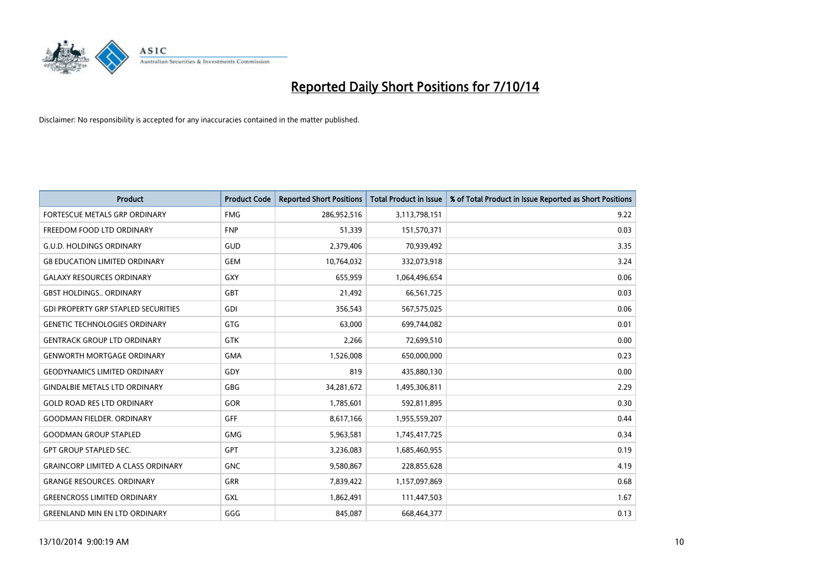

| <b>Product</b>                             | <b>Product Code</b> | <b>Reported Short Positions</b> | <b>Total Product in Issue</b> | % of Total Product in Issue Reported as Short Positions |
|--------------------------------------------|---------------------|---------------------------------|-------------------------------|---------------------------------------------------------|
| FORTESCUE METALS GRP ORDINARY              | <b>FMG</b>          | 286,952,516                     | 3,113,798,151                 | 9.22                                                    |
| FREEDOM FOOD LTD ORDINARY                  | <b>FNP</b>          | 51,339                          | 151,570,371                   | 0.03                                                    |
| <b>G.U.D. HOLDINGS ORDINARY</b>            | GUD                 | 2,379,406                       | 70,939,492                    | 3.35                                                    |
| <b>G8 EDUCATION LIMITED ORDINARY</b>       | <b>GEM</b>          | 10,764,032                      | 332,073,918                   | 3.24                                                    |
| <b>GALAXY RESOURCES ORDINARY</b>           | <b>GXY</b>          | 655,959                         | 1,064,496,654                 | 0.06                                                    |
| <b>GBST HOLDINGS., ORDINARY</b>            | <b>GBT</b>          | 21,492                          | 66,561,725                    | 0.03                                                    |
| <b>GDI PROPERTY GRP STAPLED SECURITIES</b> | <b>GDI</b>          | 356,543                         | 567,575,025                   | 0.06                                                    |
| <b>GENETIC TECHNOLOGIES ORDINARY</b>       | <b>GTG</b>          | 63,000                          | 699,744,082                   | 0.01                                                    |
| <b>GENTRACK GROUP LTD ORDINARY</b>         | <b>GTK</b>          | 2,266                           | 72,699,510                    | 0.00                                                    |
| <b>GENWORTH MORTGAGE ORDINARY</b>          | <b>GMA</b>          | 1,526,008                       | 650,000,000                   | 0.23                                                    |
| <b>GEODYNAMICS LIMITED ORDINARY</b>        | GDY                 | 819                             | 435,880,130                   | 0.00                                                    |
| <b>GINDALBIE METALS LTD ORDINARY</b>       | <b>GBG</b>          | 34,281,672                      | 1,495,306,811                 | 2.29                                                    |
| <b>GOLD ROAD RES LTD ORDINARY</b>          | GOR                 | 1,785,601                       | 592,811,895                   | 0.30                                                    |
| <b>GOODMAN FIELDER, ORDINARY</b>           | GFF                 | 8,617,166                       | 1,955,559,207                 | 0.44                                                    |
| <b>GOODMAN GROUP STAPLED</b>               | <b>GMG</b>          | 5,963,581                       | 1,745,417,725                 | 0.34                                                    |
| <b>GPT GROUP STAPLED SEC.</b>              | GPT                 | 3,236,083                       | 1,685,460,955                 | 0.19                                                    |
| <b>GRAINCORP LIMITED A CLASS ORDINARY</b>  | <b>GNC</b>          | 9,580,867                       | 228,855,628                   | 4.19                                                    |
| <b>GRANGE RESOURCES. ORDINARY</b>          | <b>GRR</b>          | 7,839,422                       | 1,157,097,869                 | 0.68                                                    |
| <b>GREENCROSS LIMITED ORDINARY</b>         | <b>GXL</b>          | 1,862,491                       | 111,447,503                   | 1.67                                                    |
| <b>GREENLAND MIN EN LTD ORDINARY</b>       | GGG                 | 845,087                         | 668,464,377                   | 0.13                                                    |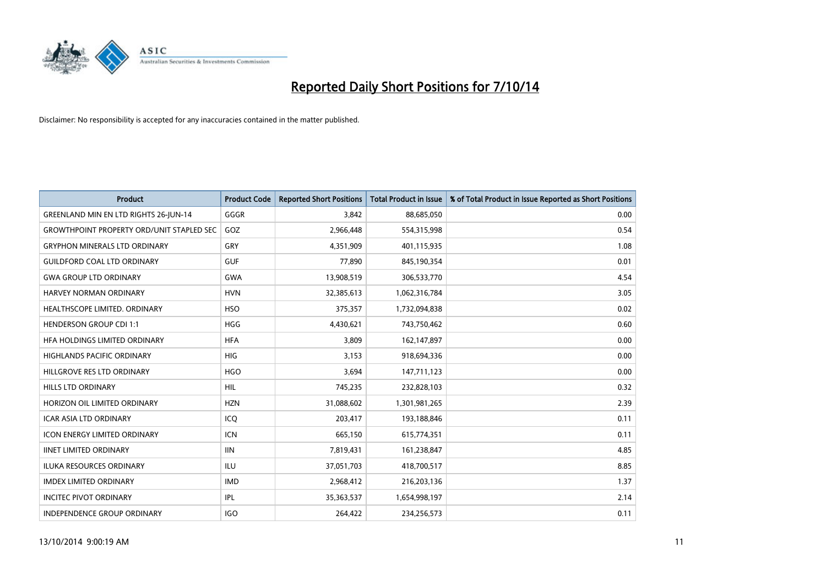

| <b>Product</b>                                   | <b>Product Code</b> | <b>Reported Short Positions</b> | <b>Total Product in Issue</b> | % of Total Product in Issue Reported as Short Positions |
|--------------------------------------------------|---------------------|---------------------------------|-------------------------------|---------------------------------------------------------|
| GREENLAND MIN EN LTD RIGHTS 26-JUN-14            | GGGR                | 3,842                           | 88,685,050                    | 0.00                                                    |
| <b>GROWTHPOINT PROPERTY ORD/UNIT STAPLED SEC</b> | GOZ                 | 2,966,448                       | 554,315,998                   | 0.54                                                    |
| <b>GRYPHON MINERALS LTD ORDINARY</b>             | GRY                 | 4,351,909                       | 401,115,935                   | 1.08                                                    |
| <b>GUILDFORD COAL LTD ORDINARY</b>               | <b>GUF</b>          | 77,890                          | 845,190,354                   | 0.01                                                    |
| <b>GWA GROUP LTD ORDINARY</b>                    | <b>GWA</b>          | 13,908,519                      | 306,533,770                   | 4.54                                                    |
| <b>HARVEY NORMAN ORDINARY</b>                    | <b>HVN</b>          | 32,385,613                      | 1,062,316,784                 | 3.05                                                    |
| HEALTHSCOPE LIMITED. ORDINARY                    | <b>HSO</b>          | 375,357                         | 1,732,094,838                 | 0.02                                                    |
| <b>HENDERSON GROUP CDI 1:1</b>                   | <b>HGG</b>          | 4,430,621                       | 743,750,462                   | 0.60                                                    |
| HFA HOLDINGS LIMITED ORDINARY                    | <b>HFA</b>          | 3,809                           | 162,147,897                   | 0.00                                                    |
| <b>HIGHLANDS PACIFIC ORDINARY</b>                | <b>HIG</b>          | 3,153                           | 918,694,336                   | 0.00                                                    |
| HILLGROVE RES LTD ORDINARY                       | <b>HGO</b>          | 3,694                           | 147,711,123                   | 0.00                                                    |
| <b>HILLS LTD ORDINARY</b>                        | <b>HIL</b>          | 745,235                         | 232,828,103                   | 0.32                                                    |
| HORIZON OIL LIMITED ORDINARY                     | <b>HZN</b>          | 31,088,602                      | 1,301,981,265                 | 2.39                                                    |
| <b>ICAR ASIA LTD ORDINARY</b>                    | ICQ                 | 203,417                         | 193,188,846                   | 0.11                                                    |
| <b>ICON ENERGY LIMITED ORDINARY</b>              | ICN                 | 665,150                         | 615,774,351                   | 0.11                                                    |
| <b>IINET LIMITED ORDINARY</b>                    | <b>IIN</b>          | 7,819,431                       | 161,238,847                   | 4.85                                                    |
| <b>ILUKA RESOURCES ORDINARY</b>                  | ILU                 | 37,051,703                      | 418,700,517                   | 8.85                                                    |
| <b>IMDEX LIMITED ORDINARY</b>                    | <b>IMD</b>          | 2,968,412                       | 216,203,136                   | 1.37                                                    |
| <b>INCITEC PIVOT ORDINARY</b>                    | IPL                 | 35,363,537                      | 1,654,998,197                 | 2.14                                                    |
| <b>INDEPENDENCE GROUP ORDINARY</b>               | <b>IGO</b>          | 264,422                         | 234,256,573                   | 0.11                                                    |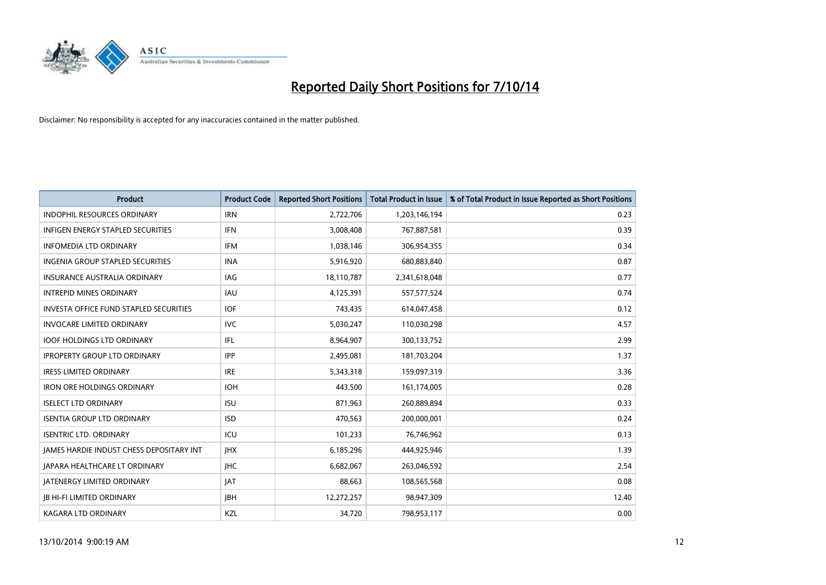

| <b>Product</b>                                | <b>Product Code</b> | <b>Reported Short Positions</b> | <b>Total Product in Issue</b> | % of Total Product in Issue Reported as Short Positions |
|-----------------------------------------------|---------------------|---------------------------------|-------------------------------|---------------------------------------------------------|
| <b>INDOPHIL RESOURCES ORDINARY</b>            | <b>IRN</b>          | 2,722,706                       | 1,203,146,194                 | 0.23                                                    |
| INFIGEN ENERGY STAPLED SECURITIES             | <b>IFN</b>          | 3,008,408                       | 767,887,581                   | 0.39                                                    |
| <b>INFOMEDIA LTD ORDINARY</b>                 | <b>IFM</b>          | 1,038,146                       | 306,954,355                   | 0.34                                                    |
| <b>INGENIA GROUP STAPLED SECURITIES</b>       | <b>INA</b>          | 5,916,920                       | 680,883,840                   | 0.87                                                    |
| <b>INSURANCE AUSTRALIA ORDINARY</b>           | IAG                 | 18,110,787                      | 2,341,618,048                 | 0.77                                                    |
| <b>INTREPID MINES ORDINARY</b>                | <b>IAU</b>          | 4,125,391                       | 557,577,524                   | 0.74                                                    |
| <b>INVESTA OFFICE FUND STAPLED SECURITIES</b> | <b>IOF</b>          | 743,435                         | 614,047,458                   | 0.12                                                    |
| <b>INVOCARE LIMITED ORDINARY</b>              | <b>IVC</b>          | 5,030,247                       | 110,030,298                   | 4.57                                                    |
| <b>IOOF HOLDINGS LTD ORDINARY</b>             | IFL                 | 8,964,907                       | 300,133,752                   | 2.99                                                    |
| <b>IPROPERTY GROUP LTD ORDINARY</b>           | <b>IPP</b>          | 2,495,081                       | 181,703,204                   | 1.37                                                    |
| <b>IRESS LIMITED ORDINARY</b>                 | <b>IRE</b>          | 5,343,318                       | 159,097,319                   | 3.36                                                    |
| <b>IRON ORE HOLDINGS ORDINARY</b>             | <b>IOH</b>          | 443,500                         | 161,174,005                   | 0.28                                                    |
| <b>ISELECT LTD ORDINARY</b>                   | <b>ISU</b>          | 871,963                         | 260,889,894                   | 0.33                                                    |
| <b>ISENTIA GROUP LTD ORDINARY</b>             | <b>ISD</b>          | 470,563                         | 200,000,001                   | 0.24                                                    |
| <b>ISENTRIC LTD. ORDINARY</b>                 | ICU                 | 101,233                         | 76,746,962                    | 0.13                                                    |
| JAMES HARDIE INDUST CHESS DEPOSITARY INT      | <b>IHX</b>          | 6,185,296                       | 444,925,946                   | 1.39                                                    |
| <b>JAPARA HEALTHCARE LT ORDINARY</b>          | <b>IHC</b>          | 6,682,067                       | 263,046,592                   | 2.54                                                    |
| <b>JATENERGY LIMITED ORDINARY</b>             | <b>JAT</b>          | 88,663                          | 108,565,568                   | 0.08                                                    |
| <b>JB HI-FI LIMITED ORDINARY</b>              | <b>IBH</b>          | 12,272,257                      | 98,947,309                    | 12.40                                                   |
| <b>KAGARA LTD ORDINARY</b>                    | KZL                 | 34,720                          | 798,953,117                   | 0.00                                                    |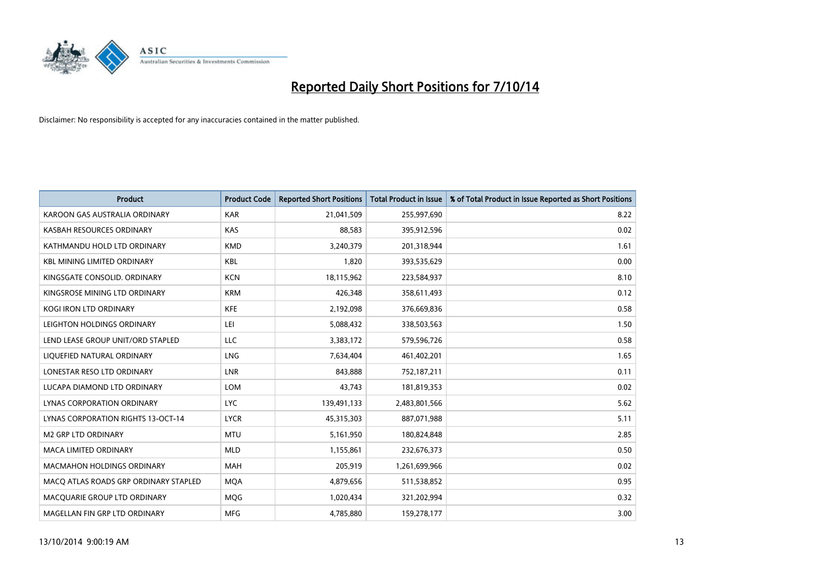

| <b>Product</b>                            | <b>Product Code</b> | <b>Reported Short Positions</b> | <b>Total Product in Issue</b> | % of Total Product in Issue Reported as Short Positions |
|-------------------------------------------|---------------------|---------------------------------|-------------------------------|---------------------------------------------------------|
| KAROON GAS AUSTRALIA ORDINARY             | <b>KAR</b>          | 21,041,509                      | 255,997,690                   | 8.22                                                    |
| KASBAH RESOURCES ORDINARY                 | <b>KAS</b>          | 88,583                          | 395,912,596                   | 0.02                                                    |
| KATHMANDU HOLD LTD ORDINARY               | <b>KMD</b>          | 3,240,379                       | 201,318,944                   | 1.61                                                    |
| <b>KBL MINING LIMITED ORDINARY</b>        | KBL                 | 1,820                           | 393,535,629                   | 0.00                                                    |
| KINGSGATE CONSOLID, ORDINARY              | <b>KCN</b>          | 18,115,962                      | 223,584,937                   | 8.10                                                    |
| KINGSROSE MINING LTD ORDINARY             | <b>KRM</b>          | 426,348                         | 358,611,493                   | 0.12                                                    |
| <b>KOGI IRON LTD ORDINARY</b>             | <b>KFE</b>          | 2,192,098                       | 376,669,836                   | 0.58                                                    |
| LEIGHTON HOLDINGS ORDINARY                | LEI                 | 5,088,432                       | 338,503,563                   | 1.50                                                    |
| LEND LEASE GROUP UNIT/ORD STAPLED         | <b>LLC</b>          | 3,383,172                       | 579,596,726                   | 0.58                                                    |
| LIOUEFIED NATURAL ORDINARY                | LNG                 | 7,634,404                       | 461,402,201                   | 1.65                                                    |
| LONESTAR RESO LTD ORDINARY                | LNR                 | 843,888                         | 752,187,211                   | 0.11                                                    |
| LUCAPA DIAMOND LTD ORDINARY               | LOM                 | 43,743                          | 181,819,353                   | 0.02                                                    |
| <b>LYNAS CORPORATION ORDINARY</b>         | <b>LYC</b>          | 139,491,133                     | 2,483,801,566                 | 5.62                                                    |
| <b>LYNAS CORPORATION RIGHTS 13-OCT-14</b> | <b>LYCR</b>         | 45,315,303                      | 887,071,988                   | 5.11                                                    |
| M2 GRP LTD ORDINARY                       | <b>MTU</b>          | 5,161,950                       | 180,824,848                   | 2.85                                                    |
| <b>MACA LIMITED ORDINARY</b>              | <b>MLD</b>          | 1,155,861                       | 232,676,373                   | 0.50                                                    |
| <b>MACMAHON HOLDINGS ORDINARY</b>         | <b>MAH</b>          | 205,919                         | 1,261,699,966                 | 0.02                                                    |
| MACO ATLAS ROADS GRP ORDINARY STAPLED     | <b>MOA</b>          | 4,879,656                       | 511,538,852                   | 0.95                                                    |
| MACQUARIE GROUP LTD ORDINARY              | MQG                 | 1,020,434                       | 321,202,994                   | 0.32                                                    |
| MAGELLAN FIN GRP LTD ORDINARY             | <b>MFG</b>          | 4,785,880                       | 159,278,177                   | 3.00                                                    |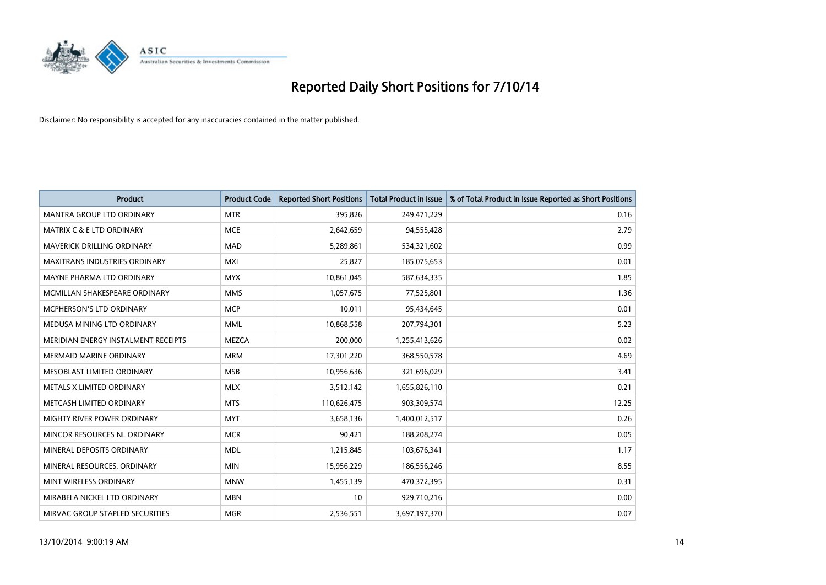

| <b>Product</b>                       | <b>Product Code</b> | <b>Reported Short Positions</b> | <b>Total Product in Issue</b> | % of Total Product in Issue Reported as Short Positions |
|--------------------------------------|---------------------|---------------------------------|-------------------------------|---------------------------------------------------------|
| <b>MANTRA GROUP LTD ORDINARY</b>     | <b>MTR</b>          | 395,826                         | 249,471,229                   | 0.16                                                    |
| <b>MATRIX C &amp; E LTD ORDINARY</b> | <b>MCE</b>          | 2,642,659                       | 94,555,428                    | 2.79                                                    |
| MAVERICK DRILLING ORDINARY           | <b>MAD</b>          | 5,289,861                       | 534,321,602                   | 0.99                                                    |
| <b>MAXITRANS INDUSTRIES ORDINARY</b> | <b>MXI</b>          | 25,827                          | 185,075,653                   | 0.01                                                    |
| MAYNE PHARMA LTD ORDINARY            | <b>MYX</b>          | 10,861,045                      | 587,634,335                   | 1.85                                                    |
| MCMILLAN SHAKESPEARE ORDINARY        | <b>MMS</b>          | 1,057,675                       | 77,525,801                    | 1.36                                                    |
| <b>MCPHERSON'S LTD ORDINARY</b>      | <b>MCP</b>          | 10,011                          | 95,434,645                    | 0.01                                                    |
| MEDUSA MINING LTD ORDINARY           | <b>MML</b>          | 10,868,558                      | 207,794,301                   | 5.23                                                    |
| MERIDIAN ENERGY INSTALMENT RECEIPTS  | <b>MEZCA</b>        | 200,000                         | 1,255,413,626                 | 0.02                                                    |
| <b>MERMAID MARINE ORDINARY</b>       | <b>MRM</b>          | 17,301,220                      | 368,550,578                   | 4.69                                                    |
| MESOBLAST LIMITED ORDINARY           | <b>MSB</b>          | 10,956,636                      | 321,696,029                   | 3.41                                                    |
| METALS X LIMITED ORDINARY            | <b>MLX</b>          | 3,512,142                       | 1,655,826,110                 | 0.21                                                    |
| METCASH LIMITED ORDINARY             | <b>MTS</b>          | 110,626,475                     | 903,309,574                   | 12.25                                                   |
| MIGHTY RIVER POWER ORDINARY          | <b>MYT</b>          | 3,658,136                       | 1,400,012,517                 | 0.26                                                    |
| MINCOR RESOURCES NL ORDINARY         | <b>MCR</b>          | 90,421                          | 188,208,274                   | 0.05                                                    |
| MINERAL DEPOSITS ORDINARY            | <b>MDL</b>          | 1,215,845                       | 103,676,341                   | 1.17                                                    |
| MINERAL RESOURCES. ORDINARY          | <b>MIN</b>          | 15,956,229                      | 186,556,246                   | 8.55                                                    |
| MINT WIRELESS ORDINARY               | <b>MNW</b>          | 1,455,139                       | 470,372,395                   | 0.31                                                    |
| MIRABELA NICKEL LTD ORDINARY         | <b>MBN</b>          | 10                              | 929,710,216                   | 0.00                                                    |
| MIRVAC GROUP STAPLED SECURITIES      | <b>MGR</b>          | 2,536,551                       | 3,697,197,370                 | 0.07                                                    |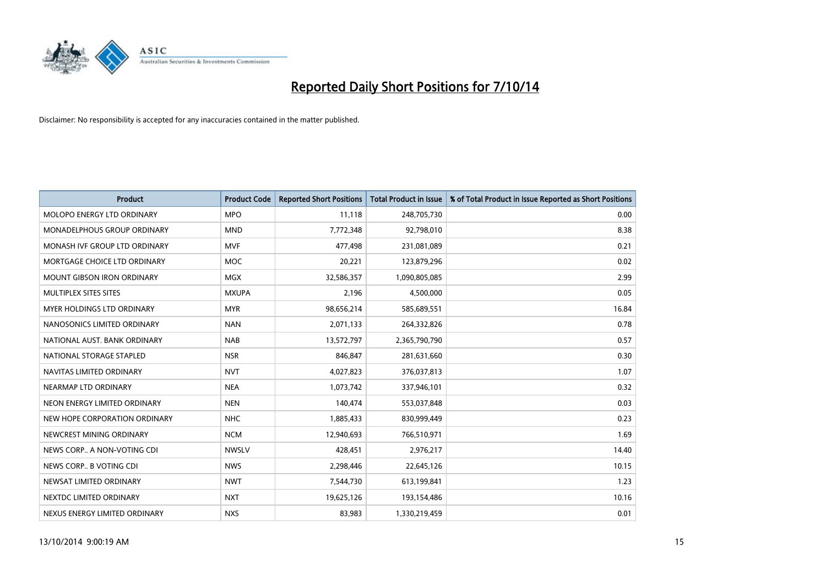

| <b>Product</b>                    | <b>Product Code</b> | <b>Reported Short Positions</b> | <b>Total Product in Issue</b> | % of Total Product in Issue Reported as Short Positions |
|-----------------------------------|---------------------|---------------------------------|-------------------------------|---------------------------------------------------------|
| MOLOPO ENERGY LTD ORDINARY        | <b>MPO</b>          | 11,118                          | 248,705,730                   | 0.00                                                    |
| MONADELPHOUS GROUP ORDINARY       | <b>MND</b>          | 7,772,348                       | 92,798,010                    | 8.38                                                    |
| MONASH IVF GROUP LTD ORDINARY     | MVF                 | 477,498                         | 231,081,089                   | 0.21                                                    |
| MORTGAGE CHOICE LTD ORDINARY      | <b>MOC</b>          | 20,221                          | 123,879,296                   | 0.02                                                    |
| <b>MOUNT GIBSON IRON ORDINARY</b> | <b>MGX</b>          | 32,586,357                      | 1,090,805,085                 | 2.99                                                    |
| MULTIPLEX SITES SITES             | <b>MXUPA</b>        | 2,196                           | 4,500,000                     | 0.05                                                    |
| <b>MYER HOLDINGS LTD ORDINARY</b> | <b>MYR</b>          | 98,656,214                      | 585,689,551                   | 16.84                                                   |
| NANOSONICS LIMITED ORDINARY       | <b>NAN</b>          | 2,071,133                       | 264,332,826                   | 0.78                                                    |
| NATIONAL AUST, BANK ORDINARY      | <b>NAB</b>          | 13,572,797                      | 2,365,790,790                 | 0.57                                                    |
| NATIONAL STORAGE STAPLED          | <b>NSR</b>          | 846,847                         | 281,631,660                   | 0.30                                                    |
| NAVITAS LIMITED ORDINARY          | <b>NVT</b>          | 4,027,823                       | 376,037,813                   | 1.07                                                    |
| NEARMAP LTD ORDINARY              | <b>NEA</b>          | 1,073,742                       | 337,946,101                   | 0.32                                                    |
| NEON ENERGY LIMITED ORDINARY      | <b>NEN</b>          | 140,474                         | 553,037,848                   | 0.03                                                    |
| NEW HOPE CORPORATION ORDINARY     | <b>NHC</b>          | 1,885,433                       | 830,999,449                   | 0.23                                                    |
| NEWCREST MINING ORDINARY          | <b>NCM</b>          | 12,940,693                      | 766,510,971                   | 1.69                                                    |
| NEWS CORP A NON-VOTING CDI        | <b>NWSLV</b>        | 428,451                         | 2,976,217                     | 14.40                                                   |
| NEWS CORP B VOTING CDI            | <b>NWS</b>          | 2,298,446                       | 22,645,126                    | 10.15                                                   |
| NEWSAT LIMITED ORDINARY           | <b>NWT</b>          | 7,544,730                       | 613,199,841                   | 1.23                                                    |
| NEXTDC LIMITED ORDINARY           | <b>NXT</b>          | 19,625,126                      | 193,154,486                   | 10.16                                                   |
| NEXUS ENERGY LIMITED ORDINARY     | <b>NXS</b>          | 83,983                          | 1,330,219,459                 | 0.01                                                    |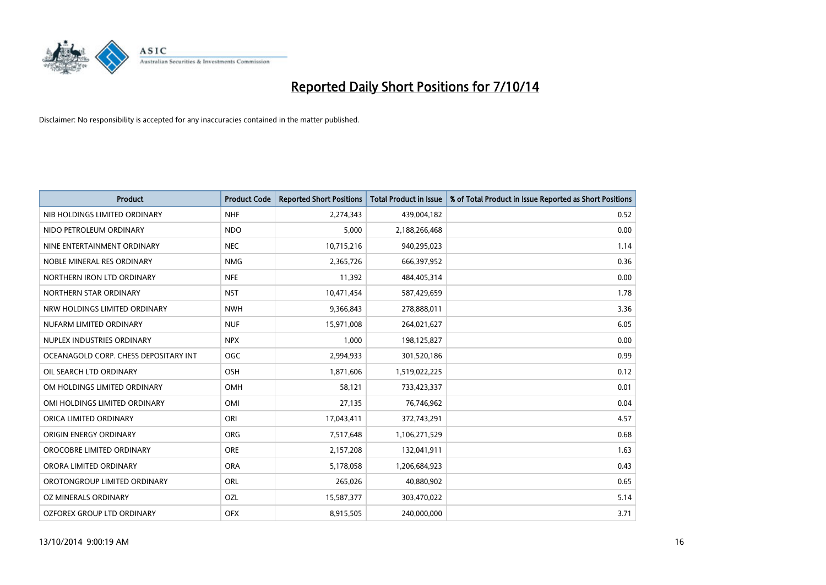

| <b>Product</b>                        | <b>Product Code</b> | <b>Reported Short Positions</b> | <b>Total Product in Issue</b> | % of Total Product in Issue Reported as Short Positions |
|---------------------------------------|---------------------|---------------------------------|-------------------------------|---------------------------------------------------------|
| NIB HOLDINGS LIMITED ORDINARY         | <b>NHF</b>          | 2,274,343                       | 439,004,182                   | 0.52                                                    |
| NIDO PETROLEUM ORDINARY               | <b>NDO</b>          | 5,000                           | 2,188,266,468                 | 0.00                                                    |
| NINE ENTERTAINMENT ORDINARY           | <b>NEC</b>          | 10,715,216                      | 940,295,023                   | 1.14                                                    |
| NOBLE MINERAL RES ORDINARY            | <b>NMG</b>          | 2,365,726                       | 666,397,952                   | 0.36                                                    |
| NORTHERN IRON LTD ORDINARY            | <b>NFE</b>          | 11,392                          | 484,405,314                   | 0.00                                                    |
| NORTHERN STAR ORDINARY                | <b>NST</b>          | 10,471,454                      | 587,429,659                   | 1.78                                                    |
| NRW HOLDINGS LIMITED ORDINARY         | <b>NWH</b>          | 9,366,843                       | 278,888,011                   | 3.36                                                    |
| NUFARM LIMITED ORDINARY               | <b>NUF</b>          | 15,971,008                      | 264,021,627                   | 6.05                                                    |
| NUPLEX INDUSTRIES ORDINARY            | <b>NPX</b>          | 1,000                           | 198,125,827                   | 0.00                                                    |
| OCEANAGOLD CORP. CHESS DEPOSITARY INT | <b>OGC</b>          | 2,994,933                       | 301,520,186                   | 0.99                                                    |
| OIL SEARCH LTD ORDINARY               | OSH                 | 1,871,606                       | 1,519,022,225                 | 0.12                                                    |
| OM HOLDINGS LIMITED ORDINARY          | OMH                 | 58,121                          | 733,423,337                   | 0.01                                                    |
| OMI HOLDINGS LIMITED ORDINARY         | OMI                 | 27,135                          | 76,746,962                    | 0.04                                                    |
| ORICA LIMITED ORDINARY                | ORI                 | 17,043,411                      | 372,743,291                   | 4.57                                                    |
| ORIGIN ENERGY ORDINARY                | <b>ORG</b>          | 7,517,648                       | 1,106,271,529                 | 0.68                                                    |
| OROCOBRE LIMITED ORDINARY             | <b>ORE</b>          | 2,157,208                       | 132,041,911                   | 1.63                                                    |
| ORORA LIMITED ORDINARY                | <b>ORA</b>          | 5,178,058                       | 1,206,684,923                 | 0.43                                                    |
| OROTONGROUP LIMITED ORDINARY          | <b>ORL</b>          | 265,026                         | 40,880,902                    | 0.65                                                    |
| OZ MINERALS ORDINARY                  | OZL                 | 15,587,377                      | 303,470,022                   | 5.14                                                    |
| OZFOREX GROUP LTD ORDINARY            | <b>OFX</b>          | 8,915,505                       | 240,000,000                   | 3.71                                                    |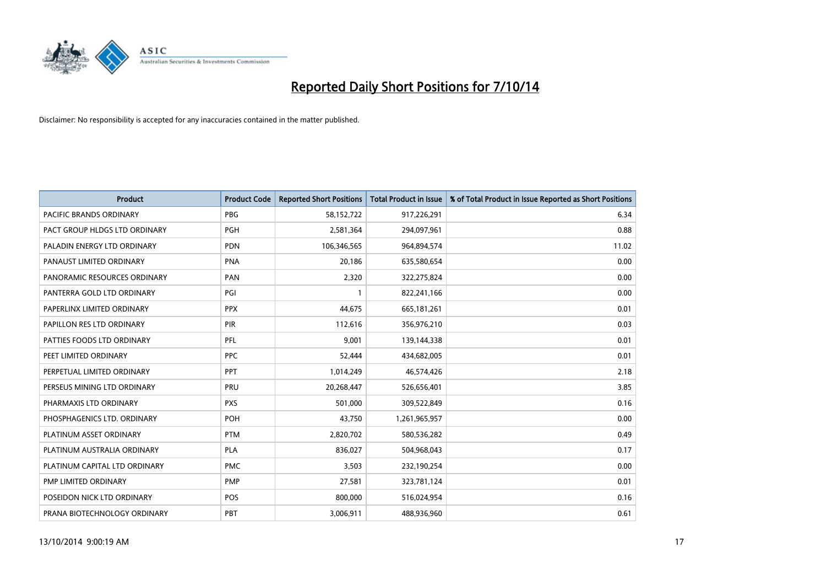

| <b>Product</b>                 | <b>Product Code</b> | <b>Reported Short Positions</b> | <b>Total Product in Issue</b> | % of Total Product in Issue Reported as Short Positions |
|--------------------------------|---------------------|---------------------------------|-------------------------------|---------------------------------------------------------|
| <b>PACIFIC BRANDS ORDINARY</b> | <b>PBG</b>          | 58,152,722                      | 917,226,291                   | 6.34                                                    |
| PACT GROUP HLDGS LTD ORDINARY  | <b>PGH</b>          | 2,581,364                       | 294,097,961                   | 0.88                                                    |
| PALADIN ENERGY LTD ORDINARY    | <b>PDN</b>          | 106,346,565                     | 964,894,574                   | 11.02                                                   |
| PANAUST LIMITED ORDINARY       | <b>PNA</b>          | 20,186                          | 635,580,654                   | 0.00                                                    |
| PANORAMIC RESOURCES ORDINARY   | PAN                 | 2,320                           | 322,275,824                   | 0.00                                                    |
| PANTERRA GOLD LTD ORDINARY     | PGI                 |                                 | 822,241,166                   | 0.00                                                    |
| PAPERLINX LIMITED ORDINARY     | <b>PPX</b>          | 44,675                          | 665, 181, 261                 | 0.01                                                    |
| PAPILLON RES LTD ORDINARY      | PIR                 | 112,616                         | 356,976,210                   | 0.03                                                    |
| PATTIES FOODS LTD ORDINARY     | PFL                 | 9,001                           | 139,144,338                   | 0.01                                                    |
| PEET LIMITED ORDINARY          | <b>PPC</b>          | 52,444                          | 434,682,005                   | 0.01                                                    |
| PERPETUAL LIMITED ORDINARY     | PPT                 | 1,014,249                       | 46,574,426                    | 2.18                                                    |
| PERSEUS MINING LTD ORDINARY    | PRU                 | 20,268,447                      | 526,656,401                   | 3.85                                                    |
| PHARMAXIS LTD ORDINARY         | <b>PXS</b>          | 501,000                         | 309,522,849                   | 0.16                                                    |
| PHOSPHAGENICS LTD. ORDINARY    | <b>POH</b>          | 43,750                          | 1,261,965,957                 | 0.00                                                    |
| PLATINUM ASSET ORDINARY        | <b>PTM</b>          | 2,820,702                       | 580,536,282                   | 0.49                                                    |
| PLATINUM AUSTRALIA ORDINARY    | <b>PLA</b>          | 836,027                         | 504,968,043                   | 0.17                                                    |
| PLATINUM CAPITAL LTD ORDINARY  | <b>PMC</b>          | 3,503                           | 232,190,254                   | 0.00                                                    |
| PMP LIMITED ORDINARY           | <b>PMP</b>          | 27,581                          | 323,781,124                   | 0.01                                                    |
| POSEIDON NICK LTD ORDINARY     | <b>POS</b>          | 800,000                         | 516,024,954                   | 0.16                                                    |
| PRANA BIOTECHNOLOGY ORDINARY   | PBT                 | 3,006,911                       | 488,936,960                   | 0.61                                                    |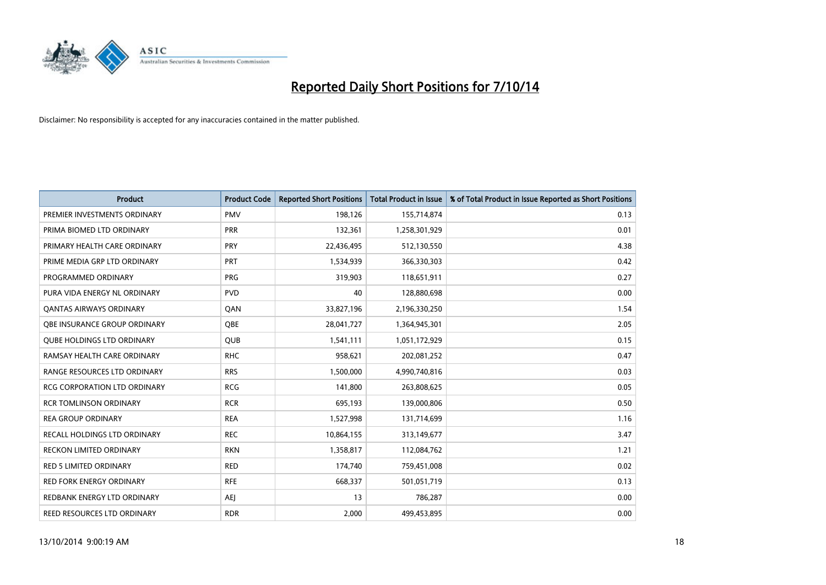

| <b>Product</b>                      | <b>Product Code</b> | <b>Reported Short Positions</b> | <b>Total Product in Issue</b> | % of Total Product in Issue Reported as Short Positions |
|-------------------------------------|---------------------|---------------------------------|-------------------------------|---------------------------------------------------------|
| PREMIER INVESTMENTS ORDINARY        | <b>PMV</b>          | 198,126                         | 155,714,874                   | 0.13                                                    |
| PRIMA BIOMED LTD ORDINARY           | <b>PRR</b>          | 132,361                         | 1,258,301,929                 | 0.01                                                    |
| PRIMARY HEALTH CARE ORDINARY        | <b>PRY</b>          | 22,436,495                      | 512,130,550                   | 4.38                                                    |
| PRIME MEDIA GRP LTD ORDINARY        | <b>PRT</b>          | 1,534,939                       | 366,330,303                   | 0.42                                                    |
| PROGRAMMED ORDINARY                 | PRG                 | 319,903                         | 118,651,911                   | 0.27                                                    |
| PURA VIDA ENERGY NL ORDINARY        | <b>PVD</b>          | 40                              | 128,880,698                   | 0.00                                                    |
| <b>QANTAS AIRWAYS ORDINARY</b>      | QAN                 | 33,827,196                      | 2,196,330,250                 | 1.54                                                    |
| <b>OBE INSURANCE GROUP ORDINARY</b> | <b>OBE</b>          | 28,041,727                      | 1,364,945,301                 | 2.05                                                    |
| <b>QUBE HOLDINGS LTD ORDINARY</b>   | <b>QUB</b>          | 1,541,111                       | 1,051,172,929                 | 0.15                                                    |
| RAMSAY HEALTH CARE ORDINARY         | <b>RHC</b>          | 958,621                         | 202,081,252                   | 0.47                                                    |
| RANGE RESOURCES LTD ORDINARY        | <b>RRS</b>          | 1,500,000                       | 4,990,740,816                 | 0.03                                                    |
| <b>RCG CORPORATION LTD ORDINARY</b> | <b>RCG</b>          | 141,800                         | 263,808,625                   | 0.05                                                    |
| <b>RCR TOMLINSON ORDINARY</b>       | <b>RCR</b>          | 695,193                         | 139,000,806                   | 0.50                                                    |
| <b>REA GROUP ORDINARY</b>           | <b>REA</b>          | 1,527,998                       | 131,714,699                   | 1.16                                                    |
| RECALL HOLDINGS LTD ORDINARY        | <b>REC</b>          | 10,864,155                      | 313,149,677                   | 3.47                                                    |
| RECKON LIMITED ORDINARY             | <b>RKN</b>          | 1,358,817                       | 112,084,762                   | 1.21                                                    |
| RED 5 LIMITED ORDINARY              | <b>RED</b>          | 174,740                         | 759,451,008                   | 0.02                                                    |
| <b>RED FORK ENERGY ORDINARY</b>     | <b>RFE</b>          | 668,337                         | 501,051,719                   | 0.13                                                    |
| REDBANK ENERGY LTD ORDINARY         | <b>AEI</b>          | 13                              | 786,287                       | 0.00                                                    |
| REED RESOURCES LTD ORDINARY         | <b>RDR</b>          | 2,000                           | 499,453,895                   | 0.00                                                    |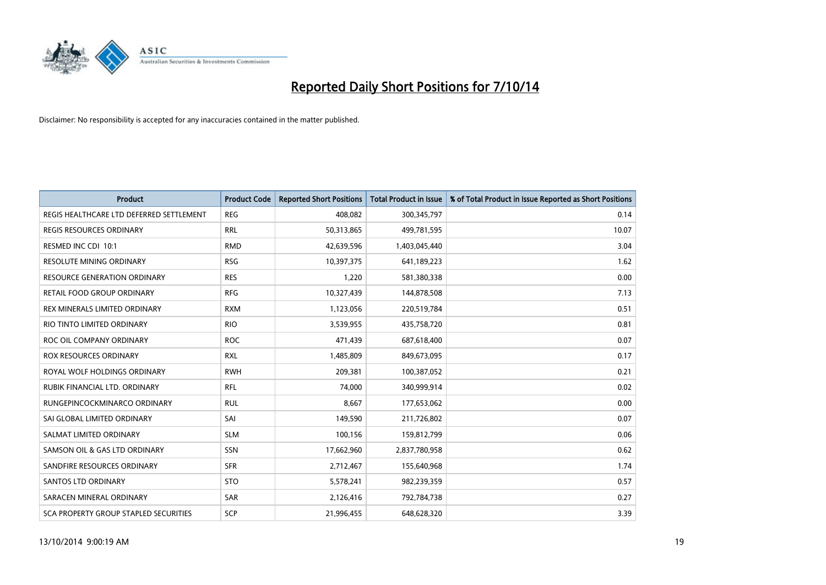

| <b>Product</b>                           | <b>Product Code</b> | <b>Reported Short Positions</b> | <b>Total Product in Issue</b> | % of Total Product in Issue Reported as Short Positions |
|------------------------------------------|---------------------|---------------------------------|-------------------------------|---------------------------------------------------------|
| REGIS HEALTHCARE LTD DEFERRED SETTLEMENT | <b>REG</b>          | 408,082                         | 300,345,797                   | 0.14                                                    |
| <b>REGIS RESOURCES ORDINARY</b>          | <b>RRL</b>          | 50,313,865                      | 499,781,595                   | 10.07                                                   |
| RESMED INC CDI 10:1                      | <b>RMD</b>          | 42,639,596                      | 1,403,045,440                 | 3.04                                                    |
| RESOLUTE MINING ORDINARY                 | <b>RSG</b>          | 10,397,375                      | 641,189,223                   | 1.62                                                    |
| <b>RESOURCE GENERATION ORDINARY</b>      | <b>RES</b>          | 1,220                           | 581,380,338                   | 0.00                                                    |
| RETAIL FOOD GROUP ORDINARY               | <b>RFG</b>          | 10,327,439                      | 144,878,508                   | 7.13                                                    |
| REX MINERALS LIMITED ORDINARY            | <b>RXM</b>          | 1,123,056                       | 220,519,784                   | 0.51                                                    |
| RIO TINTO LIMITED ORDINARY               | <b>RIO</b>          | 3,539,955                       | 435,758,720                   | 0.81                                                    |
| ROC OIL COMPANY ORDINARY                 | <b>ROC</b>          | 471,439                         | 687,618,400                   | 0.07                                                    |
| <b>ROX RESOURCES ORDINARY</b>            | <b>RXL</b>          | 1,485,809                       | 849,673,095                   | 0.17                                                    |
| ROYAL WOLF HOLDINGS ORDINARY             | <b>RWH</b>          | 209,381                         | 100,387,052                   | 0.21                                                    |
| RUBIK FINANCIAL LTD. ORDINARY            | <b>RFL</b>          | 74,000                          | 340,999,914                   | 0.02                                                    |
| RUNGEPINCOCKMINARCO ORDINARY             | <b>RUL</b>          | 8,667                           | 177,653,062                   | 0.00                                                    |
| SAI GLOBAL LIMITED ORDINARY              | SAI                 | 149,590                         | 211,726,802                   | 0.07                                                    |
| SALMAT LIMITED ORDINARY                  | <b>SLM</b>          | 100,156                         | 159,812,799                   | 0.06                                                    |
| SAMSON OIL & GAS LTD ORDINARY            | SSN                 | 17,662,960                      | 2,837,780,958                 | 0.62                                                    |
| SANDFIRE RESOURCES ORDINARY              | <b>SFR</b>          | 2,712,467                       | 155,640,968                   | 1.74                                                    |
| <b>SANTOS LTD ORDINARY</b>               | <b>STO</b>          | 5,578,241                       | 982,239,359                   | 0.57                                                    |
| SARACEN MINERAL ORDINARY                 | <b>SAR</b>          | 2,126,416                       | 792,784,738                   | 0.27                                                    |
| SCA PROPERTY GROUP STAPLED SECURITIES    | SCP                 | 21,996,455                      | 648,628,320                   | 3.39                                                    |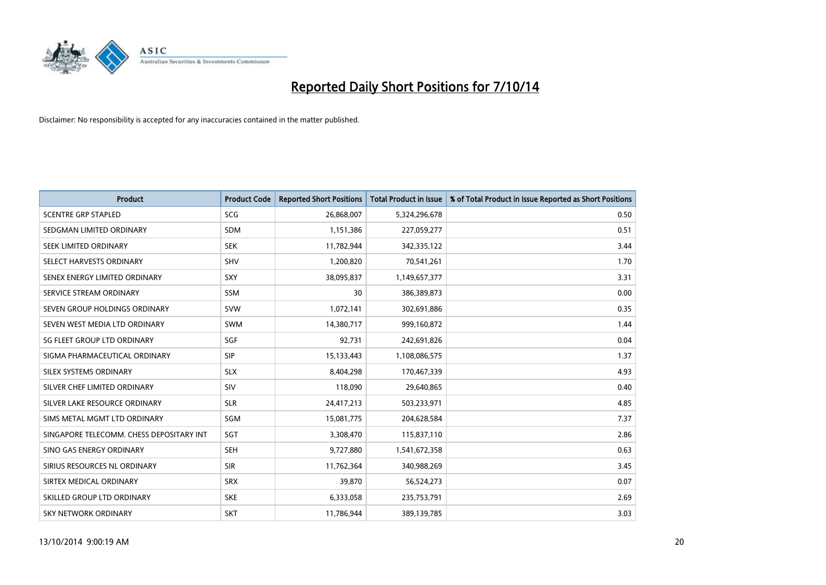

| <b>Product</b>                           | <b>Product Code</b> | <b>Reported Short Positions</b> | <b>Total Product in Issue</b> | % of Total Product in Issue Reported as Short Positions |
|------------------------------------------|---------------------|---------------------------------|-------------------------------|---------------------------------------------------------|
| <b>SCENTRE GRP STAPLED</b>               | SCG                 | 26,868,007                      | 5,324,296,678                 | 0.50                                                    |
| SEDGMAN LIMITED ORDINARY                 | <b>SDM</b>          | 1,151,386                       | 227,059,277                   | 0.51                                                    |
| SEEK LIMITED ORDINARY                    | <b>SEK</b>          | 11,782,944                      | 342,335,122                   | 3.44                                                    |
| SELECT HARVESTS ORDINARY                 | <b>SHV</b>          | 1,200,820                       | 70,541,261                    | 1.70                                                    |
| SENEX ENERGY LIMITED ORDINARY            | <b>SXY</b>          | 38,095,837                      | 1,149,657,377                 | 3.31                                                    |
| SERVICE STREAM ORDINARY                  | SSM                 | 30                              | 386,389,873                   | 0.00                                                    |
| SEVEN GROUP HOLDINGS ORDINARY            | <b>SVW</b>          | 1,072,141                       | 302,691,886                   | 0.35                                                    |
| SEVEN WEST MEDIA LTD ORDINARY            | <b>SWM</b>          | 14,380,717                      | 999,160,872                   | 1.44                                                    |
| SG FLEET GROUP LTD ORDINARY              | SGF                 | 92,731                          | 242,691,826                   | 0.04                                                    |
| SIGMA PHARMACEUTICAL ORDINARY            | <b>SIP</b>          | 15,133,443                      | 1,108,086,575                 | 1.37                                                    |
| SILEX SYSTEMS ORDINARY                   | <b>SLX</b>          | 8,404,298                       | 170,467,339                   | 4.93                                                    |
| SILVER CHEF LIMITED ORDINARY             | SIV                 | 118,090                         | 29,640,865                    | 0.40                                                    |
| SILVER LAKE RESOURCE ORDINARY            | <b>SLR</b>          | 24,417,213                      | 503,233,971                   | 4.85                                                    |
| SIMS METAL MGMT LTD ORDINARY             | SGM                 | 15,081,775                      | 204,628,584                   | 7.37                                                    |
| SINGAPORE TELECOMM. CHESS DEPOSITARY INT | SGT                 | 3,308,470                       | 115,837,110                   | 2.86                                                    |
| SINO GAS ENERGY ORDINARY                 | <b>SEH</b>          | 9,727,880                       | 1,541,672,358                 | 0.63                                                    |
| SIRIUS RESOURCES NL ORDINARY             | <b>SIR</b>          | 11,762,364                      | 340,988,269                   | 3.45                                                    |
| SIRTEX MEDICAL ORDINARY                  | <b>SRX</b>          | 39,870                          | 56,524,273                    | 0.07                                                    |
| SKILLED GROUP LTD ORDINARY               | <b>SKE</b>          | 6,333,058                       | 235,753,791                   | 2.69                                                    |
| SKY NETWORK ORDINARY                     | <b>SKT</b>          | 11,786,944                      | 389,139,785                   | 3.03                                                    |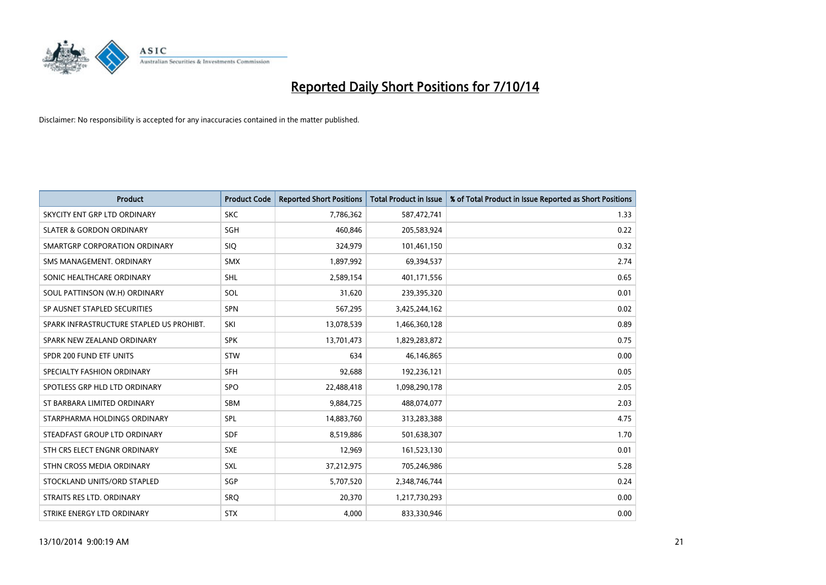

| <b>Product</b>                           | <b>Product Code</b> | <b>Reported Short Positions</b> | <b>Total Product in Issue</b> | % of Total Product in Issue Reported as Short Positions |
|------------------------------------------|---------------------|---------------------------------|-------------------------------|---------------------------------------------------------|
| SKYCITY ENT GRP LTD ORDINARY             | <b>SKC</b>          | 7,786,362                       | 587,472,741                   | 1.33                                                    |
| <b>SLATER &amp; GORDON ORDINARY</b>      | SGH                 | 460,846                         | 205,583,924                   | 0.22                                                    |
| SMARTGRP CORPORATION ORDINARY            | <b>SIQ</b>          | 324,979                         | 101,461,150                   | 0.32                                                    |
| SMS MANAGEMENT, ORDINARY                 | <b>SMX</b>          | 1,897,992                       | 69,394,537                    | 2.74                                                    |
| SONIC HEALTHCARE ORDINARY                | SHL                 | 2,589,154                       | 401,171,556                   | 0.65                                                    |
| SOUL PATTINSON (W.H) ORDINARY            | SOL                 | 31,620                          | 239,395,320                   | 0.01                                                    |
| SP AUSNET STAPLED SECURITIES             | <b>SPN</b>          | 567,295                         | 3,425,244,162                 | 0.02                                                    |
| SPARK INFRASTRUCTURE STAPLED US PROHIBT. | SKI                 | 13,078,539                      | 1,466,360,128                 | 0.89                                                    |
| SPARK NEW ZEALAND ORDINARY               | <b>SPK</b>          | 13,701,473                      | 1,829,283,872                 | 0.75                                                    |
| SPDR 200 FUND ETF UNITS                  | <b>STW</b>          | 634                             | 46,146,865                    | 0.00                                                    |
| SPECIALTY FASHION ORDINARY               | <b>SFH</b>          | 92,688                          | 192,236,121                   | 0.05                                                    |
| SPOTLESS GRP HLD LTD ORDINARY            | <b>SPO</b>          | 22,488,418                      | 1,098,290,178                 | 2.05                                                    |
| ST BARBARA LIMITED ORDINARY              | <b>SBM</b>          | 9,884,725                       | 488,074,077                   | 2.03                                                    |
| STARPHARMA HOLDINGS ORDINARY             | SPL                 | 14,883,760                      | 313,283,388                   | 4.75                                                    |
| STEADFAST GROUP LTD ORDINARY             | <b>SDF</b>          | 8,519,886                       | 501,638,307                   | 1.70                                                    |
| STH CRS ELECT ENGNR ORDINARY             | <b>SXE</b>          | 12,969                          | 161,523,130                   | 0.01                                                    |
| STHN CROSS MEDIA ORDINARY                | SXL                 | 37,212,975                      | 705,246,986                   | 5.28                                                    |
| STOCKLAND UNITS/ORD STAPLED              | SGP                 | 5,707,520                       | 2,348,746,744                 | 0.24                                                    |
| STRAITS RES LTD. ORDINARY                | SRO                 | 20,370                          | 1,217,730,293                 | 0.00                                                    |
| STRIKE ENERGY LTD ORDINARY               | <b>STX</b>          | 4,000                           | 833,330,946                   | 0.00                                                    |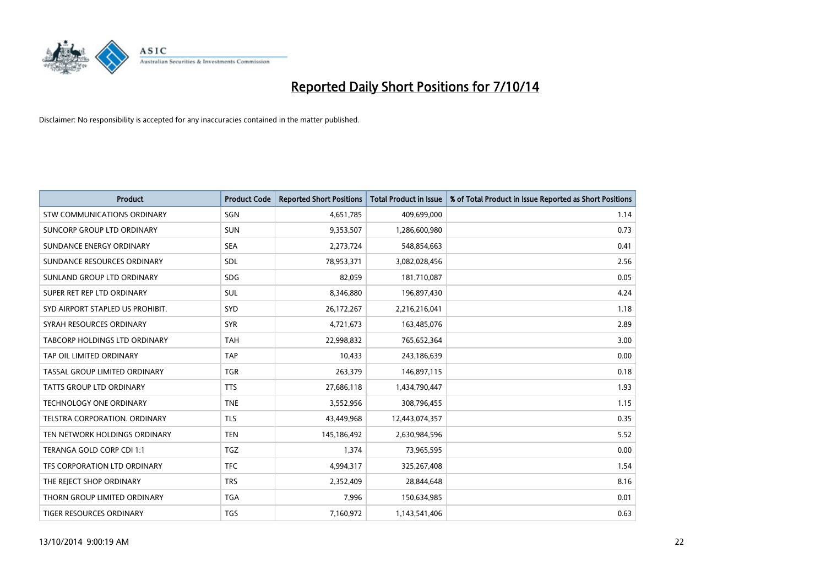

| <b>Product</b>                     | <b>Product Code</b> | <b>Reported Short Positions</b> | <b>Total Product in Issue</b> | % of Total Product in Issue Reported as Short Positions |
|------------------------------------|---------------------|---------------------------------|-------------------------------|---------------------------------------------------------|
| <b>STW COMMUNICATIONS ORDINARY</b> | SGN                 | 4,651,785                       | 409,699,000                   | 1.14                                                    |
| SUNCORP GROUP LTD ORDINARY         | <b>SUN</b>          | 9,353,507                       | 1,286,600,980                 | 0.73                                                    |
| SUNDANCE ENERGY ORDINARY           | <b>SEA</b>          | 2,273,724                       | 548,854,663                   | 0.41                                                    |
| SUNDANCE RESOURCES ORDINARY        | <b>SDL</b>          | 78,953,371                      | 3,082,028,456                 | 2.56                                                    |
| SUNLAND GROUP LTD ORDINARY         | <b>SDG</b>          | 82,059                          | 181,710,087                   | 0.05                                                    |
| SUPER RET REP LTD ORDINARY         | <b>SUL</b>          | 8,346,880                       | 196,897,430                   | 4.24                                                    |
| SYD AIRPORT STAPLED US PROHIBIT.   | <b>SYD</b>          | 26,172,267                      | 2,216,216,041                 | 1.18                                                    |
| SYRAH RESOURCES ORDINARY           | <b>SYR</b>          | 4,721,673                       | 163,485,076                   | 2.89                                                    |
| TABCORP HOLDINGS LTD ORDINARY      | <b>TAH</b>          | 22,998,832                      | 765,652,364                   | 3.00                                                    |
| TAP OIL LIMITED ORDINARY           | <b>TAP</b>          | 10,433                          | 243,186,639                   | 0.00                                                    |
| TASSAL GROUP LIMITED ORDINARY      | <b>TGR</b>          | 263,379                         | 146,897,115                   | 0.18                                                    |
| <b>TATTS GROUP LTD ORDINARY</b>    | <b>TTS</b>          | 27,686,118                      | 1,434,790,447                 | 1.93                                                    |
| TECHNOLOGY ONE ORDINARY            | <b>TNE</b>          | 3,552,956                       | 308,796,455                   | 1.15                                                    |
| TELSTRA CORPORATION, ORDINARY      | <b>TLS</b>          | 43,449,968                      | 12,443,074,357                | 0.35                                                    |
| TEN NETWORK HOLDINGS ORDINARY      | <b>TEN</b>          | 145,186,492                     | 2,630,984,596                 | 5.52                                                    |
| TERANGA GOLD CORP CDI 1:1          | <b>TGZ</b>          | 1,374                           | 73,965,595                    | 0.00                                                    |
| TFS CORPORATION LTD ORDINARY       | <b>TFC</b>          | 4,994,317                       | 325,267,408                   | 1.54                                                    |
| THE REJECT SHOP ORDINARY           | <b>TRS</b>          | 2,352,409                       | 28,844,648                    | 8.16                                                    |
| THORN GROUP LIMITED ORDINARY       | <b>TGA</b>          | 7,996                           | 150,634,985                   | 0.01                                                    |
| TIGER RESOURCES ORDINARY           | <b>TGS</b>          | 7,160,972                       | 1,143,541,406                 | 0.63                                                    |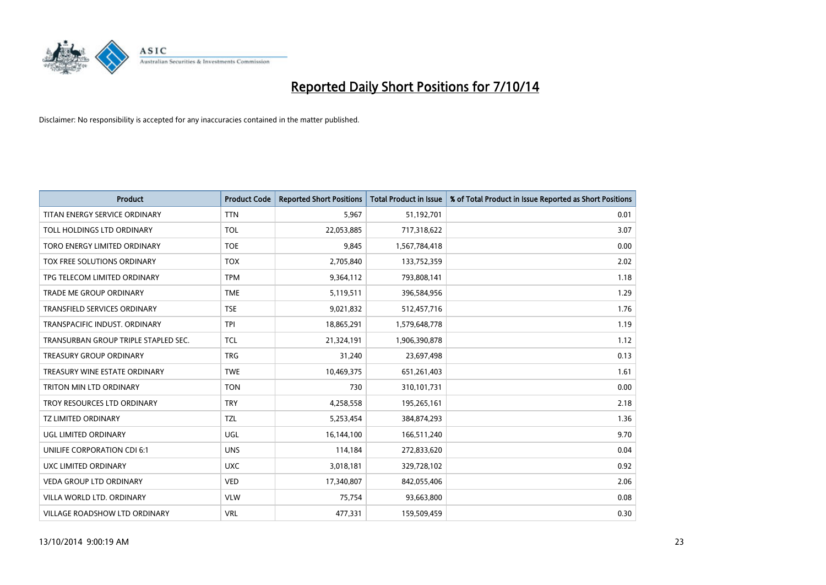

| <b>Product</b>                       | <b>Product Code</b> | <b>Reported Short Positions</b> | <b>Total Product in Issue</b> | % of Total Product in Issue Reported as Short Positions |
|--------------------------------------|---------------------|---------------------------------|-------------------------------|---------------------------------------------------------|
| TITAN ENERGY SERVICE ORDINARY        | <b>TTN</b>          | 5,967                           | 51,192,701                    | 0.01                                                    |
| TOLL HOLDINGS LTD ORDINARY           | <b>TOL</b>          | 22,053,885                      | 717,318,622                   | 3.07                                                    |
| TORO ENERGY LIMITED ORDINARY         | <b>TOE</b>          | 9,845                           | 1,567,784,418                 | 0.00                                                    |
| TOX FREE SOLUTIONS ORDINARY          | <b>TOX</b>          | 2,705,840                       | 133,752,359                   | 2.02                                                    |
| TPG TELECOM LIMITED ORDINARY         | <b>TPM</b>          | 9,364,112                       | 793,808,141                   | 1.18                                                    |
| TRADE ME GROUP ORDINARY              | <b>TME</b>          | 5,119,511                       | 396,584,956                   | 1.29                                                    |
| TRANSFIELD SERVICES ORDINARY         | <b>TSE</b>          | 9,021,832                       | 512,457,716                   | 1.76                                                    |
| TRANSPACIFIC INDUST. ORDINARY        | <b>TPI</b>          | 18,865,291                      | 1,579,648,778                 | 1.19                                                    |
| TRANSURBAN GROUP TRIPLE STAPLED SEC. | <b>TCL</b>          | 21,324,191                      | 1,906,390,878                 | 1.12                                                    |
| <b>TREASURY GROUP ORDINARY</b>       | <b>TRG</b>          | 31,240                          | 23,697,498                    | 0.13                                                    |
| TREASURY WINE ESTATE ORDINARY        | <b>TWE</b>          | 10,469,375                      | 651,261,403                   | 1.61                                                    |
| <b>TRITON MIN LTD ORDINARY</b>       | <b>TON</b>          | 730                             | 310,101,731                   | 0.00                                                    |
| TROY RESOURCES LTD ORDINARY          | <b>TRY</b>          | 4,258,558                       | 195,265,161                   | 2.18                                                    |
| <b>TZ LIMITED ORDINARY</b>           | <b>TZL</b>          | 5,253,454                       | 384,874,293                   | 1.36                                                    |
| UGL LIMITED ORDINARY                 | UGL                 | 16,144,100                      | 166,511,240                   | 9.70                                                    |
| UNILIFE CORPORATION CDI 6:1          | <b>UNS</b>          | 114,184                         | 272,833,620                   | 0.04                                                    |
| UXC LIMITED ORDINARY                 | <b>UXC</b>          | 3,018,181                       | 329,728,102                   | 0.92                                                    |
| <b>VEDA GROUP LTD ORDINARY</b>       | <b>VED</b>          | 17,340,807                      | 842,055,406                   | 2.06                                                    |
| VILLA WORLD LTD, ORDINARY            | <b>VLW</b>          | 75,754                          | 93,663,800                    | 0.08                                                    |
| VILLAGE ROADSHOW LTD ORDINARY        | <b>VRL</b>          | 477,331                         | 159,509,459                   | 0.30                                                    |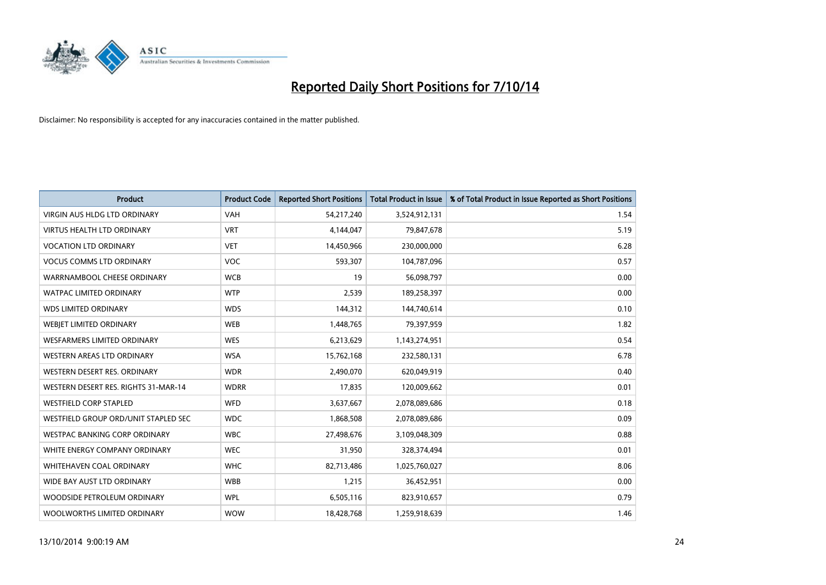

| <b>Product</b>                       | <b>Product Code</b> | <b>Reported Short Positions</b> | <b>Total Product in Issue</b> | % of Total Product in Issue Reported as Short Positions |
|--------------------------------------|---------------------|---------------------------------|-------------------------------|---------------------------------------------------------|
| VIRGIN AUS HLDG LTD ORDINARY         | <b>VAH</b>          | 54,217,240                      | 3,524,912,131                 | 1.54                                                    |
| <b>VIRTUS HEALTH LTD ORDINARY</b>    | <b>VRT</b>          | 4,144,047                       | 79,847,678                    | 5.19                                                    |
| <b>VOCATION LTD ORDINARY</b>         | <b>VET</b>          | 14,450,966                      | 230,000,000                   | 6.28                                                    |
| <b>VOCUS COMMS LTD ORDINARY</b>      | <b>VOC</b>          | 593,307                         | 104,787,096                   | 0.57                                                    |
| WARRNAMBOOL CHEESE ORDINARY          | <b>WCB</b>          | 19                              | 56,098,797                    | 0.00                                                    |
| <b>WATPAC LIMITED ORDINARY</b>       | <b>WTP</b>          | 2,539                           | 189,258,397                   | 0.00                                                    |
| <b>WDS LIMITED ORDINARY</b>          | <b>WDS</b>          | 144,312                         | 144,740,614                   | 0.10                                                    |
| WEBIET LIMITED ORDINARY              | <b>WEB</b>          | 1,448,765                       | 79,397,959                    | 1.82                                                    |
| WESFARMERS LIMITED ORDINARY          | <b>WES</b>          | 6,213,629                       | 1,143,274,951                 | 0.54                                                    |
| WESTERN AREAS LTD ORDINARY           | <b>WSA</b>          | 15,762,168                      | 232,580,131                   | 6.78                                                    |
| WESTERN DESERT RES. ORDINARY         | <b>WDR</b>          | 2,490,070                       | 620,049,919                   | 0.40                                                    |
| WESTERN DESERT RES. RIGHTS 31-MAR-14 | <b>WDRR</b>         | 17,835                          | 120,009,662                   | 0.01                                                    |
| <b>WESTFIELD CORP STAPLED</b>        | WFD                 | 3,637,667                       | 2,078,089,686                 | 0.18                                                    |
| WESTFIELD GROUP ORD/UNIT STAPLED SEC | <b>WDC</b>          | 1,868,508                       | 2,078,089,686                 | 0.09                                                    |
| <b>WESTPAC BANKING CORP ORDINARY</b> | <b>WBC</b>          | 27,498,676                      | 3,109,048,309                 | 0.88                                                    |
| WHITE ENERGY COMPANY ORDINARY        | <b>WEC</b>          | 31,950                          | 328,374,494                   | 0.01                                                    |
| <b>WHITEHAVEN COAL ORDINARY</b>      | <b>WHC</b>          | 82,713,486                      | 1,025,760,027                 | 8.06                                                    |
| WIDE BAY AUST LTD ORDINARY           | <b>WBB</b>          | 1,215                           | 36,452,951                    | 0.00                                                    |
| WOODSIDE PETROLEUM ORDINARY          | <b>WPL</b>          | 6,505,116                       | 823,910,657                   | 0.79                                                    |
| WOOLWORTHS LIMITED ORDINARY          | <b>WOW</b>          | 18,428,768                      | 1,259,918,639                 | 1.46                                                    |